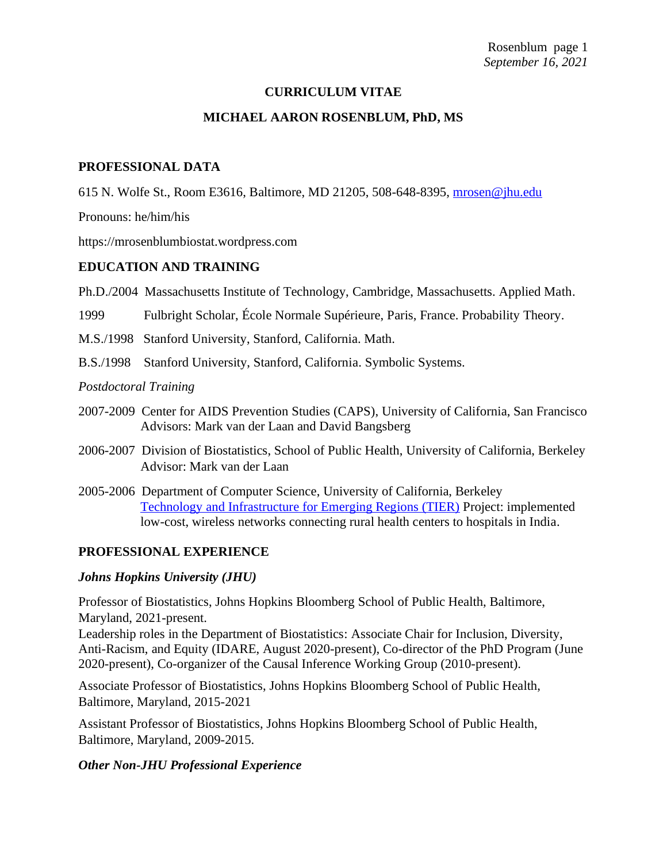#### **CURRICULUM VITAE**

#### **MICHAEL AARON ROSENBLUM, PhD, MS**

#### **PROFESSIONAL DATA**

615 N. Wolfe St., Room E3616, Baltimore, MD 21205, 508-648-8395, [mrosen@jhu.edu](mailto:mrosen@jhu.edu)

Pronouns: he/him/his

https://mrosenblumbiostat.wordpress.com

#### **EDUCATION AND TRAINING**

Ph.D./2004 Massachusetts Institute of Technology, Cambridge, Massachusetts. Applied Math.

1999 Fulbright Scholar, École Normale Supérieure, Paris, France. Probability Theory.

- M.S./1998 Stanford University, Stanford, California. Math.
- B.S./1998 Stanford University, Stanford, California. Symbolic Systems.

#### *Postdoctoral Training*

- 2007-2009 Center for AIDS Prevention Studies (CAPS), University of California, San Francisco Advisors: Mark van der Laan and David Bangsberg
- 2006-2007 Division of Biostatistics, School of Public Health, University of California, Berkeley Advisor: Mark van der Laan
- 2005-2006 Department of Computer Science, University of California, Berkeley [Technology and Infrastructure for Emerging Regions \(TIER\)](https://scienceatcal.berkeley.edu/tier-project-cal/) Project: implemented low-cost, wireless networks connecting rural health centers to hospitals in India.

### **PROFESSIONAL EXPERIENCE**

#### *Johns Hopkins University (JHU)*

Professor of Biostatistics, Johns Hopkins Bloomberg School of Public Health, Baltimore, Maryland, 2021-present.

Leadership roles in the Department of Biostatistics: Associate Chair for Inclusion, Diversity, Anti-Racism, and Equity (IDARE, August 2020-present), Co-director of the PhD Program (June 2020-present), Co-organizer of the Causal Inference Working Group (2010-present).

Associate Professor of Biostatistics, Johns Hopkins Bloomberg School of Public Health, Baltimore, Maryland, 2015-2021

Assistant Professor of Biostatistics, Johns Hopkins Bloomberg School of Public Health, Baltimore, Maryland, 2009-2015.

#### *Other Non-JHU Professional Experience*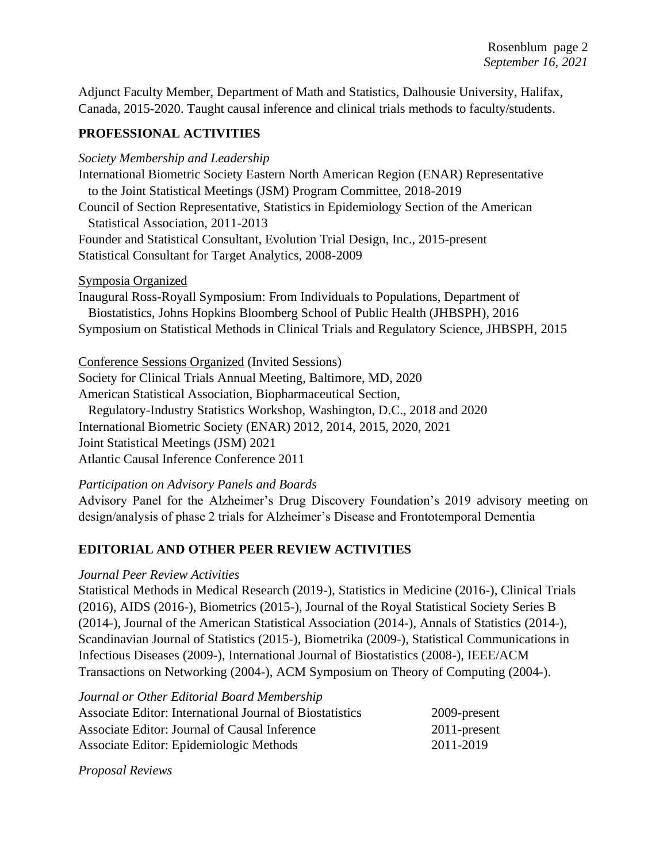Adjunct Faculty Member, Department of Math and Statistics, Dalhousie University, Halifax, Canada, 2015-2020. Taught causal inference and clinical trials methods to faculty/students.

# **PROFESSIONAL ACTIVITIES**

*Society Membership and Leadership*

International Biometric Society Eastern North American Region (ENAR) Representative to the Joint Statistical Meetings (JSM) Program Committee, 2018-2019 Council of Section Representative, Statistics in Epidemiology Section of the American Statistical Association, 2011-2013 Founder and Statistical Consultant, Evolution Trial Design, Inc., 2015-present Statistical Consultant for Target Analytics, 2008-2009

Symposia Organized

Inaugural Ross-Royall Symposium: From Individuals to Populations, Department of Biostatistics, Johns Hopkins Bloomberg School of Public Health (JHBSPH), 2016 Symposium on Statistical Methods in Clinical Trials and Regulatory Science, JHBSPH, 2015

Conference Sessions Organized (Invited Sessions) Society for Clinical Trials Annual Meeting, Baltimore, MD, 2020 American Statistical Association, Biopharmaceutical Section, Regulatory-Industry Statistics Workshop, Washington, D.C., 2018 and 2020 International Biometric Society (ENAR) 2012, 2014, 2015, 2020, 2021 Joint Statistical Meetings (JSM) 2021 Atlantic Causal Inference Conference 2011

*Participation on Advisory Panels and Boards*

Advisory Panel for the Alzheimer's Drug Discovery Foundation's 2019 advisory meeting on design/analysis of phase 2 trials for Alzheimer's Disease and Frontotemporal Dementia

# **EDITORIAL AND OTHER PEER REVIEW ACTIVITIES**

### *Journal Peer Review Activities*

Statistical Methods in Medical Research (2019-), Statistics in Medicine (2016-), Clinical Trials (2016), AIDS (2016-), Biometrics (2015-), Journal of the Royal Statistical Society Series B (2014-), Journal of the American Statistical Association (2014-), Annals of Statistics (2014-), Scandinavian Journal of Statistics (2015-), Biometrika (2009-), Statistical Communications in Infectious Diseases (2009-), International Journal of Biostatistics (2008-), IEEE/ACM Transactions on Networking (2004-), ACM Symposium on Theory of Computing (2004-).

| Journal or Other Editorial Board Membership              |                 |
|----------------------------------------------------------|-----------------|
| Associate Editor: International Journal of Biostatistics | 2009-present    |
| Associate Editor: Journal of Causal Inference            | $2011$ -present |
| Associate Editor: Epidemiologic Methods                  | 2011-2019       |

*Proposal Reviews*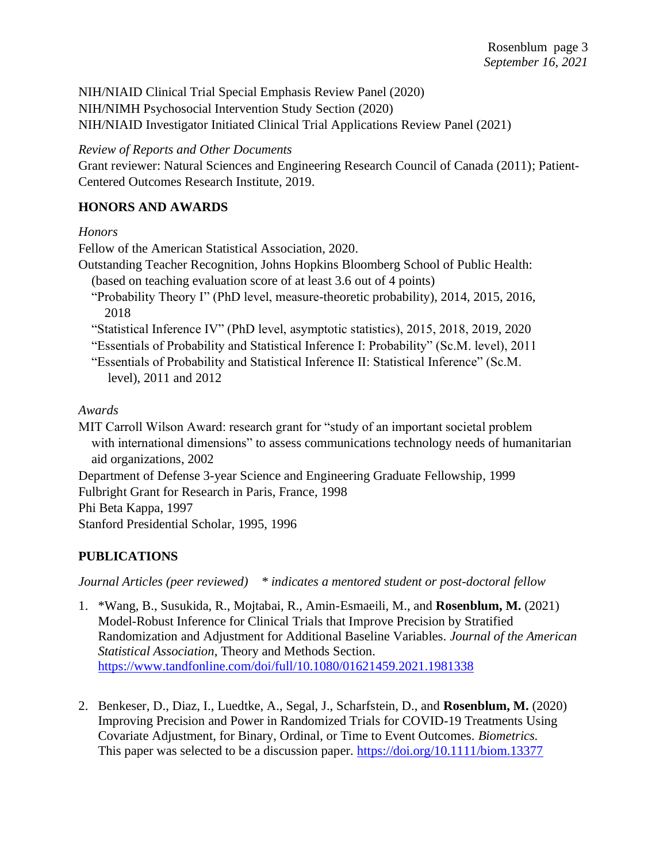NIH/NIAID Clinical Trial Special Emphasis Review Panel (2020) NIH/NIMH Psychosocial Intervention Study Section (2020) NIH/NIAID Investigator Initiated Clinical Trial Applications Review Panel (2021)

*Review of Reports and Other Documents*

Grant reviewer: Natural Sciences and Engineering Research Council of Canada (2011); Patient-Centered Outcomes Research Institute, 2019.

# **HONORS AND AWARDS**

*Honors*

Fellow of the American Statistical Association, 2020.

- Outstanding Teacher Recognition, Johns Hopkins Bloomberg School of Public Health: (based on teaching evaluation score of at least 3.6 out of 4 points)
	- "Probability Theory I" (PhD level, measure-theoretic probability), 2014, 2015, 2016, 2018
	- "Statistical Inference IV" (PhD level, asymptotic statistics), 2015, 2018, 2019, 2020
	- "Essentials of Probability and Statistical Inference I: Probability" (Sc.M. level), 2011
	- "Essentials of Probability and Statistical Inference II: Statistical Inference" (Sc.M. level), 2011 and 2012

*Awards*

MIT Carroll Wilson Award: research grant for "study of an important societal problem with international dimensions" to assess communications technology needs of humanitarian aid organizations, 2002 Department of Defense 3-year Science and Engineering Graduate Fellowship, 1999 Fulbright Grant for Research in Paris, France, 1998

Phi Beta Kappa, 1997

Stanford Presidential Scholar, 1995, 1996

# **PUBLICATIONS**

*Journal Articles (peer reviewed) \* indicates a mentored student or post-doctoral fellow*

- 1. \*Wang, B., Susukida, R., Mojtabai, R., Amin-Esmaeili, M., and **Rosenblum, M.** (2021) Model-Robust Inference for Clinical Trials that Improve Precision by Stratified Randomization and Adjustment for Additional Baseline Variables. *Journal of the American Statistical Association*, Theory and Methods Section. <https://www.tandfonline.com/doi/full/10.1080/01621459.2021.1981338>
- 2. Benkeser, D., Diaz, I., Luedtke, A., Segal, J., Scharfstein, D., and **Rosenblum, M.** (2020) Improving Precision and Power in Randomized Trials for COVID-19 Treatments Using Covariate Adjustment, for Binary, Ordinal, or Time to Event Outcomes. *Biometrics.* This paper was selected to be a discussion paper.<https://doi.org/10.1111/biom.13377>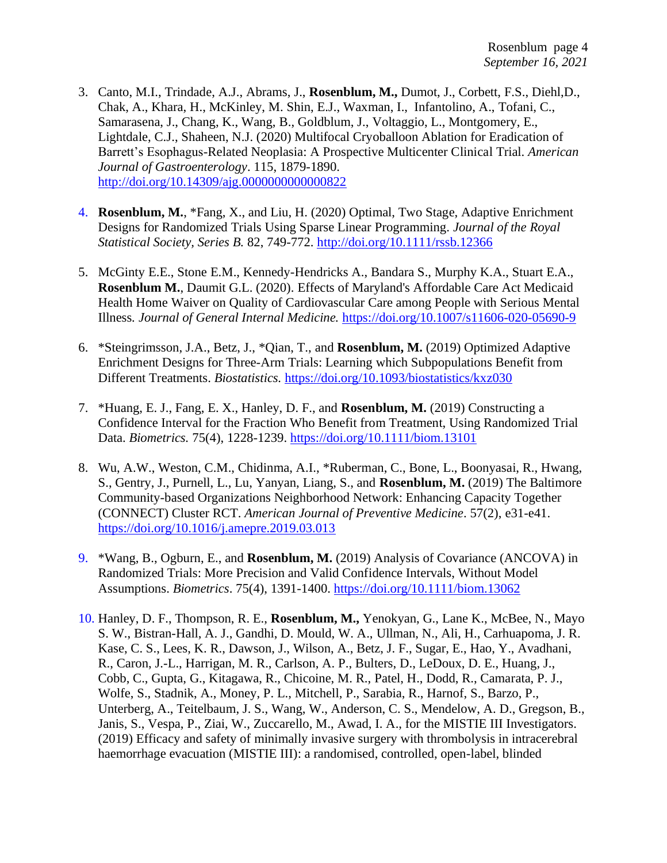- 3. Canto, M.I., Trindade, A.J., Abrams, J., **Rosenblum, M.,** Dumot, J., Corbett, F.S., Diehl,D., Chak, A., Khara, H., McKinley, M. Shin, E.J., Waxman, I., Infantolino, A., Tofani, C., Samarasena, J., Chang, K., Wang, B., Goldblum, J., Voltaggio, L., Montgomery, E., Lightdale, C.J., Shaheen, N.J. (2020) Multifocal Cryoballoon Ablation for Eradication of Barrett's Esophagus-Related Neoplasia: A Prospective Multicenter Clinical Trial. *American Journal of Gastroenterology*. 115, 1879-1890. <http://doi.org/10.14309/ajg.0000000000000822>
- 4. **Rosenblum, M.**, \*Fang, X., and Liu, H. (2020) Optimal, Two Stage, Adaptive Enrichment Designs for Randomized Trials Using Sparse Linear Programming. *Journal of the Royal Statistical Society, Series B.* 82, 749-772.<http://doi.org/10.1111/rssb.12366>
- 5. McGinty E.E., Stone E.M., Kennedy-Hendricks A., Bandara S., Murphy K.A., Stuart E.A., **Rosenblum M.**, Daumit G.L. (2020). Effects of Maryland's Affordable Care Act Medicaid Health Home Waiver on Quality of Cardiovascular Care among People with Serious Mental Illness*. Journal of General Internal Medicine.* <https://doi.org/10.1007/s11606-020-05690-9>
- 6. \*Steingrimsson, J.A., Betz, J., \*Qian, T., and **Rosenblum, M.** (2019) Optimized Adaptive Enrichment Designs for Three-Arm Trials: Learning which Subpopulations Benefit from Different Treatments. *Biostatistics.* <https://doi.org/10.1093/biostatistics/kxz030>
- 7. \*Huang, E. J., Fang, E. X., Hanley, D. F., and **Rosenblum, M.** (2019) Constructing a Confidence Interval for the Fraction Who Benefit from Treatment, Using Randomized Trial Data. *Biometrics.* 75(4), 1228-1239.<https://doi.org/10.1111/biom.13101>
- 8. Wu, A.W., Weston, C.M., Chidinma, A.I., \*Ruberman, C., Bone, L., Boonyasai, R., Hwang, S., Gentry, J., Purnell, L., Lu, Yanyan, Liang, S., and **Rosenblum, M.** (2019) The Baltimore Community-based Organizations Neighborhood Network: Enhancing Capacity Together (CONNECT) Cluster RCT. *American Journal of Preventive Medicine*. 57(2), e31-e41. <https://doi.org/10.1016/j.amepre.2019.03.013>
- 9. \*Wang, B., Ogburn, E., and **Rosenblum, M.** (2019) Analysis of Covariance (ANCOVA) in Randomized Trials: More Precision and Valid Confidence Intervals, Without Model Assumptions. *Biometrics*. 75(4), 1391-1400.<https://doi.org/10.1111/biom.13062>
- 10. Hanley, D. F., Thompson, R. E., **Rosenblum, M.,** Yenokyan, G., Lane K., McBee, N., Mayo S. W., Bistran-Hall, A. J., Gandhi, D. Mould, W. A., Ullman, N., Ali, H., Carhuapoma, J. R. Kase, C. S., Lees, K. R., Dawson, J., Wilson, A., Betz, J. F., Sugar, E., Hao, Y., Avadhani, R., Caron, J.-L., Harrigan, M. R., Carlson, A. P., Bulters, D., LeDoux, D. E., Huang, J., Cobb, C., Gupta, G., Kitagawa, R., Chicoine, M. R., Patel, H., Dodd, R., Camarata, P. J., Wolfe, S., Stadnik, A., Money, P. L., Mitchell, P., Sarabia, R., Harnof, S., Barzo, P., Unterberg, A., Teitelbaum, J. S., Wang, W., Anderson, C. S., Mendelow, A. D., Gregson, B., Janis, S., Vespa, P., Ziai, W., Zuccarello, M., Awad, I. A., for the MISTIE III Investigators. (2019) Efficacy and safety of minimally invasive surgery with thrombolysis in intracerebral haemorrhage evacuation (MISTIE III): a randomised, controlled, open-label, blinded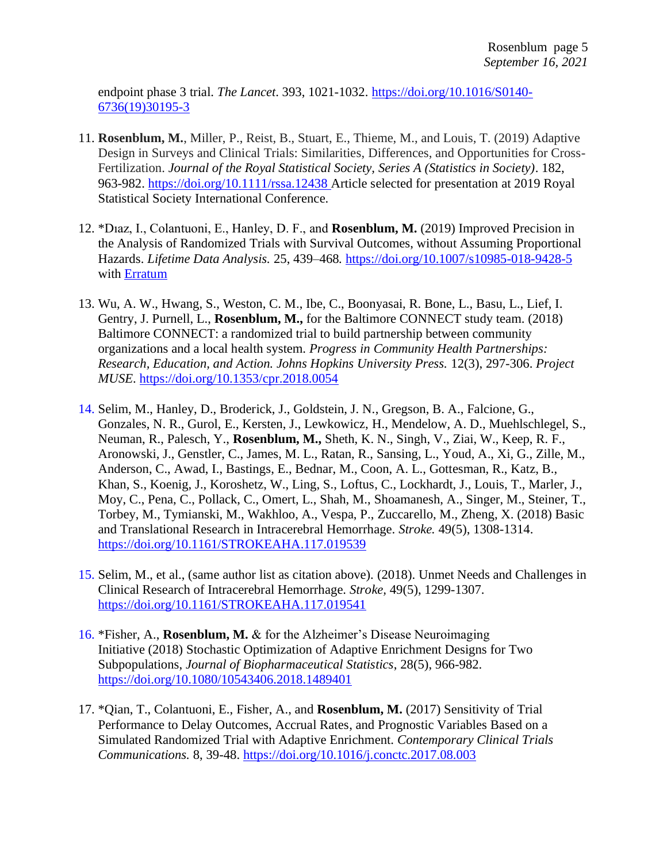endpoint phase 3 trial. *The Lancet*. 393, 1021-1032. [https://doi.org/10.1016/S0140-](https://doi.org/10.1016/S0140-6736(19)30195-3) [6736\(19\)30195-3](https://doi.org/10.1016/S0140-6736(19)30195-3)

- 11. **Rosenblum, M.**, Miller, P., Reist, B., Stuart, E., Thieme, M., and Louis, T. (2019) Adaptive Design in Surveys and Clinical Trials: Similarities, Differences, and Opportunities for Cross-Fertilization. *Journal of the Royal Statistical Society, Series A (Statistics in Society)*. 182, 963-982. <https://doi.org/10.1111/rssa.12438> Article selected for presentation at 2019 Royal Statistical Society International Conference.
- 12. \*Dıaz, I., Colantuoni, E., Hanley, D. F., and **Rosenblum, M.** (2019) Improved Precision in the Analysis of Randomized Trials with Survival Outcomes, without Assuming Proportional Hazards. *Lifetime Data Analysis.* 25, 439–468*.* <https://doi.org/10.1007/s10985-018-9428-5> with **Erratum**
- 13. Wu, A. W., Hwang, S., Weston, C. M., Ibe, C., Boonyasai, R. Bone, L., Basu, L., Lief, I. Gentry, J. Purnell, L., **Rosenblum, M.,** for the Baltimore CONNECT study team. (2018) Baltimore CONNECT: a randomized trial to build partnership between community organizations and a local health system. *Progress in Community Health Partnerships: Research, Education, and Action. Johns Hopkins University Press.* 12(3), 297-306. *Project MUSE*.<https://doi.org/10.1353/cpr.2018.0054>
- 14. Selim, M., Hanley, D., Broderick, J., Goldstein, J. N., Gregson, B. A., Falcione, G., Gonzales, N. R., Gurol, E., Kersten, J., Lewkowicz, H., Mendelow, A. D., Muehlschlegel, S., Neuman, R., Palesch, Y., **Rosenblum, M.,** Sheth, K. N., Singh, V., Ziai, W., Keep, R. F., Aronowski, J., Genstler, C., James, M. L., Ratan, R., Sansing, L., Youd, A., Xi, G., Zille, M., Anderson, C., Awad, I., Bastings, E., Bednar, M., Coon, A. L., Gottesman, R., Katz, B., Khan, S., Koenig, J., Koroshetz, W., Ling, S., Loftus, C., Lockhardt, J., Louis, T., Marler, J., Moy, C., Pena, C., Pollack, C., Omert, L., Shah, M., Shoamanesh, A., Singer, M., Steiner, T., Torbey, M., Tymianski, M., Wakhloo, A., Vespa, P., Zuccarello, M., Zheng, X. (2018) Basic and Translational Research in Intracerebral Hemorrhage. *Stroke.* 49(5), 1308-1314. <https://doi.org/10.1161/STROKEAHA.117.019539>
- 15. Selim, M., et al., (same author list as citation above). (2018). Unmet Needs and Challenges in Clinical Research of Intracerebral Hemorrhage. *Stroke,* 49(5), 1299-1307. <https://doi.org/10.1161/STROKEAHA.117.019541>
- 16. \*Fisher, A., **Rosenblum, M.** & for the Alzheimer's Disease Neuroimaging Initiative (2018) Stochastic Optimization of Adaptive Enrichment Designs for Two Subpopulations, *Journal of Biopharmaceutical Statistics*, 28(5), 966-982. <https://doi.org/10.1080/10543406.2018.1489401>
- 17. \*Qian, T., Colantuoni, E., Fisher, A., and **Rosenblum, M.** (2017) Sensitivity of Trial Performance to Delay Outcomes, Accrual Rates, and Prognostic Variables Based on a Simulated Randomized Trial with Adaptive Enrichment. *Contemporary Clinical Trials Communications.* 8, 39-48.<https://doi.org/10.1016/j.conctc.2017.08.003>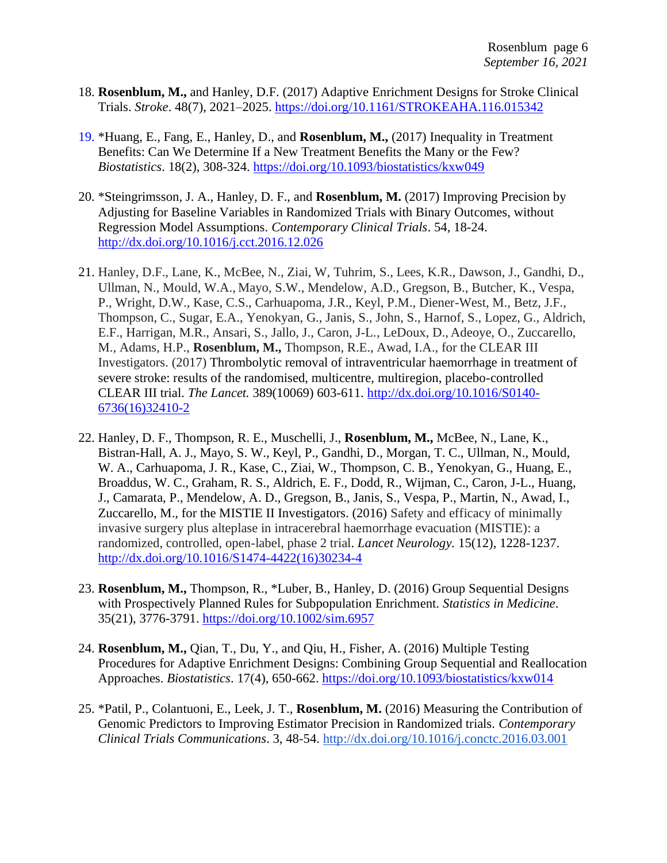- 18. **Rosenblum, M.,** and Hanley, D.F. (2017) Adaptive Enrichment Designs for Stroke Clinical Trials. *Stroke*. 48(7), 2021–2025.<https://doi.org/10.1161/STROKEAHA.116.015342>
- 19. \*Huang, E., Fang, E., Hanley, D., and **Rosenblum, M.,** (2017) Inequality in Treatment Benefits: Can We Determine If a New Treatment Benefits the Many or the Few? *Biostatistics*. 18(2), 308-324. <https://doi.org/10.1093/biostatistics/kxw049>
- 20. \*Steingrimsson, J. A., Hanley, D. F., and **Rosenblum, M.** (2017) Improving Precision by Adjusting for Baseline Variables in Randomized Trials with Binary Outcomes, without Regression Model Assumptions. *Contemporary Clinical Trials*. 54, 18-24. <http://dx.doi.org/10.1016/j.cct.2016.12.026>
- 21. Hanley, D.F., Lane, K., McBee, N., Ziai, W, Tuhrim, S., Lees, K.R., Dawson, J., Gandhi, D., Ullman, N., Mould, W.A., Mayo, S.W., Mendelow, A.D., Gregson, B., Butcher, K., Vespa, P., Wright, D.W., Kase, C.S., Carhuapoma, J.R., Keyl, P.M., Diener-West, M., Betz, J.F., Thompson, C., Sugar, E.A., Yenokyan, G., Janis, S., John, S., Harnof, S., Lopez, G., Aldrich, E.F., Harrigan, M.R., Ansari, S., Jallo, J., Caron, J-L., LeDoux, D., Adeoye, O., Zuccarello, M., Adams, H.P., **Rosenblum, M.,** Thompson, R.E., Awad, I.A., for the CLEAR III Investigators. (2017) Thrombolytic removal of intraventricular haemorrhage in treatment of severe stroke: results of the randomised, multicentre, multiregion, placebo-controlled CLEAR III trial. *The Lancet.* 389(10069) 603-611. [http://dx.doi.org/10.1016/S0140-](http://dx.doi.org/10.1016/S0140-6736(16)32410-2) [6736\(16\)32410-2](http://dx.doi.org/10.1016/S0140-6736(16)32410-2)
- 22. Hanley, D. F., Thompson, R. E., Muschelli, J., **Rosenblum, M.,** McBee, N., Lane, K., Bistran-Hall, A. J., Mayo, S. W., Keyl, P., Gandhi, D., Morgan, T. C., Ullman, N., Mould, W. A., Carhuapoma, J. R., Kase, C., Ziai, W., Thompson, C. B., Yenokyan, G., Huang, E., Broaddus, W. C., Graham, R. S., Aldrich, E. F., Dodd, R., Wijman, C., Caron, J-L., Huang, J., Camarata, P., Mendelow, A. D., Gregson, B., Janis, S., Vespa, P., Martin, N., Awad, I., Zuccarello, M., for the MISTIE II Investigators. (2016) Safety and efficacy of minimally invasive surgery plus alteplase in intracerebral haemorrhage evacuation (MISTIE): a randomized, controlled, open-label, phase 2 trial. *Lancet Neurology.* 15(12), 1228-1237. [http://dx.doi.org/10.1016/S1474-4422\(16\)30234-4](http://dx.doi.org/10.1016/S1474-4422(16)30234-4)
- 23. **Rosenblum, M.,** Thompson, R., \*Luber, B., Hanley, D. (2016) Group Sequential Designs with Prospectively Planned Rules for Subpopulation Enrichment. *Statistics in Medicine*. 35(21), 3776-3791.<https://doi.org/10.1002/sim.6957>
- 24. **Rosenblum, M.,** Qian, T., Du, Y., and Qiu, H., Fisher, A. (2016) Multiple Testing Procedures for Adaptive Enrichment Designs: Combining Group Sequential and Reallocation Approaches. *Biostatistics*. 17(4), 650-662.<https://doi.org/10.1093/biostatistics/kxw014>
- 25. \*Patil, P., Colantuoni, E., Leek, J. T., **Rosenblum, M.** (2016) Measuring the Contribution of Genomic Predictors to Improving Estimator Precision in Randomized trials. *Contemporary Clinical Trials Communications*. 3, 48-54.<http://dx.doi.org/10.1016/j.conctc.2016.03.001>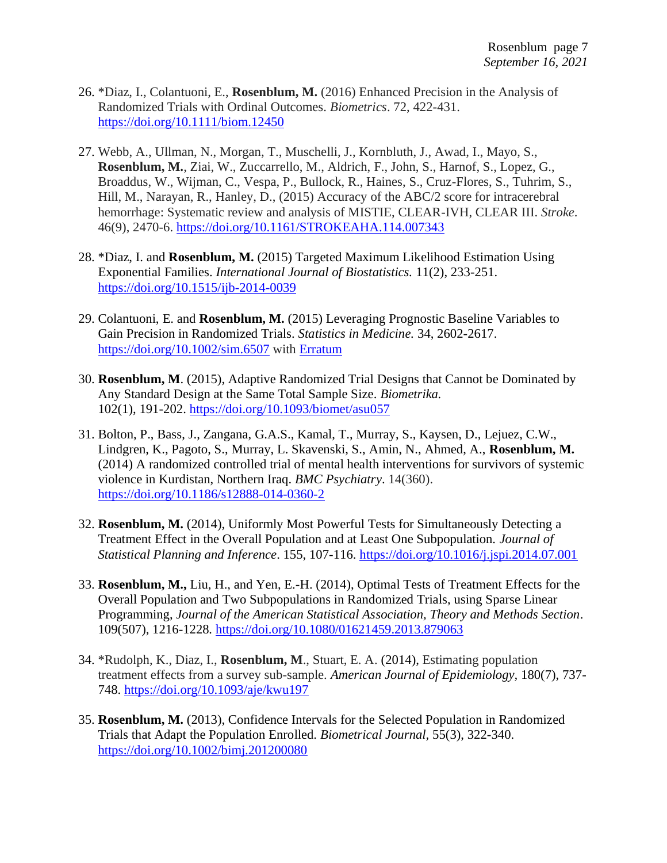- 26. \*Diaz, I., Colantuoni, E., **Rosenblum, M.** (2016) Enhanced Precision in the Analysis of Randomized Trials with Ordinal Outcomes. *Biometrics*. 72, 422-431. <https://doi.org/10.1111/biom.12450>
- 27. Webb, A., Ullman, N., Morgan, T., Muschelli, J., Kornbluth, J., Awad, I., Mayo, S., **Rosenblum, M.**, Ziai, W., Zuccarrello, M., Aldrich, F., John, S., Harnof, S., Lopez, G., Broaddus, W., Wijman, C., Vespa, P., Bullock, R., Haines, S., Cruz-Flores, S., Tuhrim, S., Hill, M., Narayan, R., Hanley, D., (2015) Accuracy of the ABC/2 score for intracerebral hemorrhage: Systematic review and analysis of MISTIE, CLEAR-IVH, CLEAR III. *Stroke*. 46(9), 2470-6.<https://doi.org/10.1161/STROKEAHA.114.007343>
- 28. \*Diaz, I. and **Rosenblum, M.** (2015) Targeted Maximum Likelihood Estimation Using Exponential Families. *International Journal of Biostatistics.* 11(2), 233-251. <https://doi.org/10.1515/ijb-2014-0039>
- 29. Colantuoni, E. and **Rosenblum, M.** (2015) Leveraging Prognostic Baseline Variables to Gain Precision in Randomized Trials. *Statistics in Medicine.* 34, 2602-2617. <https://doi.org/10.1002/sim.6507> with [Erratum](https://onlinelibrary.wiley.com/doi/epdf/10.1002/sim.7438)
- 30. **Rosenblum, M**. (2015), Adaptive Randomized Trial Designs that Cannot be Dominated by Any Standard Design at the Same Total Sample Size. *Biometrika.*  102(1), 191-202.<https://doi.org/10.1093/biomet/asu057>
- 31. Bolton, P., Bass, J., Zangana, G.A.S., Kamal, T., Murray, S., Kaysen, D., Lejuez, C.W., Lindgren, K., Pagoto, S., Murray, L. Skavenski, S., Amin, N., Ahmed, A., **Rosenblum, M.** (2014) A randomized controlled trial of mental health interventions for survivors of systemic violence in Kurdistan, Northern Iraq. *BMC Psychiatry*. 14(360). <https://doi.org/10.1186/s12888-014-0360-2>
- 32. **Rosenblum, M.** (2014), Uniformly Most Powerful Tests for Simultaneously Detecting a Treatment Effect in the Overall Population and at Least One Subpopulation. *Journal of Statistical Planning and Inference*. 155, 107-116.<https://doi.org/10.1016/j.jspi.2014.07.001>
- 33. **Rosenblum, M.,** Liu, H., and Yen, E.-H. (2014), Optimal Tests of Treatment Effects for the Overall Population and Two Subpopulations in Randomized Trials, using Sparse Linear Programming, *Journal of the American Statistical Association, Theory and Methods Section*. 109(507), 1216-1228*.* <https://doi.org/10.1080/01621459.2013.879063>
- 34. \*Rudolph, K., Diaz, I., **Rosenblum, M**., Stuart, E. A. (2014), Estimating population treatment effects from a survey sub-sample. *American Journal of Epidemiology,* 180(7), 737- 748.<https://doi.org/10.1093/aje/kwu197>
- 35. **Rosenblum, M.** (2013), Confidence Intervals for the Selected Population in Randomized Trials that Adapt the Population Enrolled. *Biometrical Journal,* 55(3), 322-340. <https://doi.org/10.1002/bimj.201200080>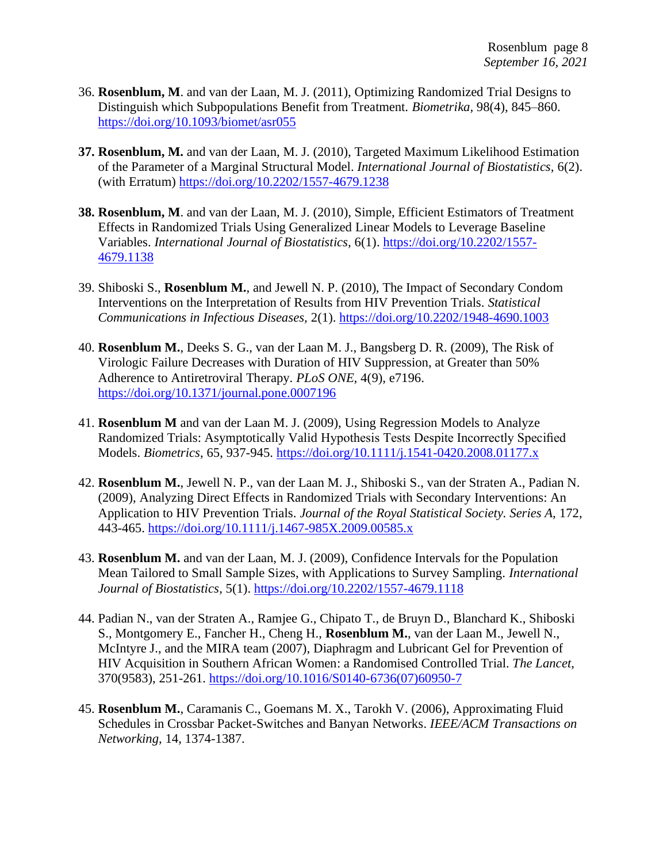- 36. **Rosenblum, M**. and van der Laan, M. J. (2011), [Optimizing Randomized Trial Designs to](http://people.csail.mit.edu/mrosenblum/Teaching/adaptive_designs_2011/opt_subpop_rosenblum.pdf)  [Distinguish which Subpopulations Benefit from Treatment.](http://people.csail.mit.edu/mrosenblum/Teaching/adaptive_designs_2011/opt_subpop_rosenblum.pdf) *Biometrika,* 98(4), 845–860. <https://doi.org/10.1093/biomet/asr055>
- **37. Rosenblum, M.** and van der Laan, M. J. (2010), [Targeted Maximum Likelihood Estimation](http://www.bepress.com/ijb/vol6/iss2/19)  [of the Parameter of a Marginal Structural Model.](http://www.bepress.com/ijb/vol6/iss2/19) *International Journal of Biostatistics,* 6(2). (with Erratum)<https://doi.org/10.2202/1557-4679.1238>
- **38. Rosenblum, M**. and van der Laan, M. J. (2010), [Simple, Efficient Estimators of Treatment](http://www.bepress.com/ijb/vol6/iss1/13/)  [Effects in Randomized Trials Using Generalized Linear Models to Leverage Baseline](http://www.bepress.com/ijb/vol6/iss1/13/)  [Variables.](http://www.bepress.com/ijb/vol6/iss1/13/) *International Journal of Biostatistics,* 6(1). [https://doi.org/10.2202/1557-](https://doi.org/10.2202/1557-4679.1138) [4679.1138](https://doi.org/10.2202/1557-4679.1138)
- 39. Shiboski S., **Rosenblum M.**, and Jewell N. P. (2010), The Impact of Secondary Condom Interventions on the Interpretation of Results from HIV Prevention Trials. *Statistical Communications in Infectious Diseases,* 2(1).<https://doi.org/10.2202/1948-4690.1003>
- 40. **Rosenblum M.**, Deeks S. G., van der Laan M. J., Bangsberg D. R. (2009), The Risk of Virologic [Failure Decreases with Duration of HIV Suppression, at Greater than 50%](http://www.plosone.org/article/info%3Adoi%2F10.1371%2Fjournal.pone.0007196#http://www.plosone.org/article/info%253Adoi%252F10.1371%252Fjournal.pone.0007196)  [Adherence to Antiretroviral Therapy.](http://www.plosone.org/article/info%3Adoi%2F10.1371%2Fjournal.pone.0007196#http://www.plosone.org/article/info%253Adoi%252F10.1371%252Fjournal.pone.0007196) *PLoS ONE,* 4(9), e7196. <https://doi.org/10.1371/journal.pone.0007196>
- 41. **Rosenblum M** and van der Laan M. J. (2009), Using Regression Models to Analyze Randomized Trials: Asymptotically Valid Hypothesis Tests Despite Incorrectly Specified Models. *Biometrics*, 65, 937-945.<https://doi.org/10.1111/j.1541-0420.2008.01177.x>
- 42. **Rosenblum M.**, Jewell N. P., van der Laan M. J., Shiboski S., van der Straten A., Padian N. (2009), Analyzing Direct Effects in Randomized Trials with Secondary Interventions: An Application to HIV Prevention Trials. *Journal of the Royal Statistical Society. Series A,* 172, 443-465.<https://doi.org/10.1111/j.1467-985X.2009.00585.x>
- 43. **Rosenblum M.** and van der Laan, M. J. (2009), Confidence Intervals for the Population Mean Tailored to Small Sample Sizes, with Applications to Survey Sampling. *International Journal of Biostatistics*, 5(1).<https://doi.org/10.2202/1557-4679.1118>
- 44. Padian N., van der Straten A., Ramjee G., Chipato T., de Bruyn D., Blanchard K., Shiboski S., Montgomery E., Fancher H., Cheng H., **Rosenblum M.**, van der Laan M., Jewell N., McIntyre J., and the MIRA team (2007), [Diaphragm and Lubricant Gel for Prevention of](http://www.thelancet.com/journals/lancet/article/PIIS0140673607609507/abstract)  [HIV Acquisition in Southern African Women: a Randomised Controlled Trial.](http://www.thelancet.com/journals/lancet/article/PIIS0140673607609507/abstract) *The Lancet*, 370(9583), 251-261. [https://doi.org/10.1016/S0140-6736\(07\)60950-7](https://doi.org/10.1016/S0140-6736(07)60950-7)
- 45. **Rosenblum M.**, Caramanis C., Goemans M. X., Tarokh V. (2006), [Approximating Fluid](http://people.csail.mit.edu/mrosenblum/papers/ieee_acm_paper.pdf)  [Schedules in Crossbar Packet-Switches and Banyan Networks.](http://people.csail.mit.edu/mrosenblum/papers/ieee_acm_paper.pdf) *IEEE/ACM Transactions on Networking,* 14, 1374-1387.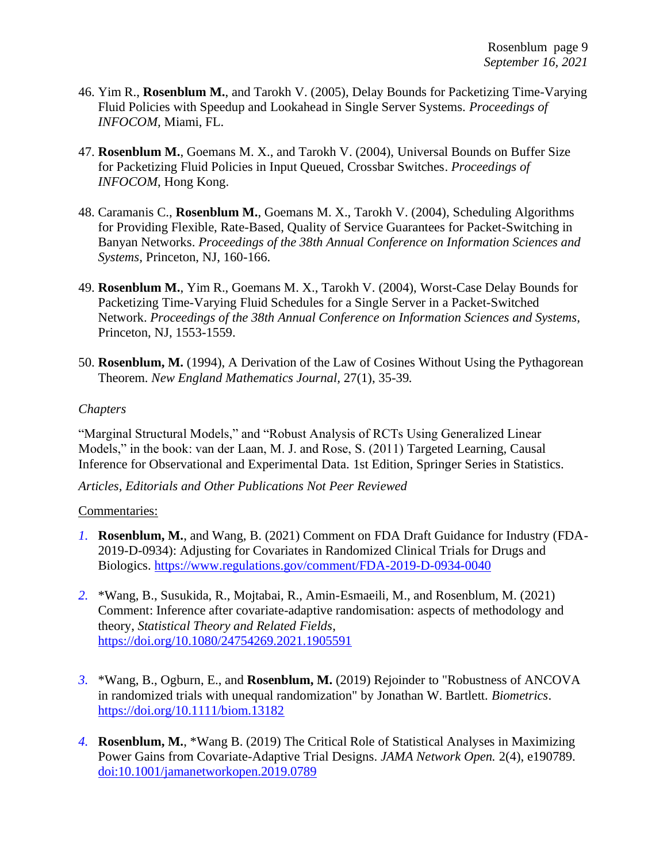- 46. Yim R., **Rosenblum M.**, and Tarokh V. (2005), Delay Bounds for Packetizing Time-Varying Fluid Policies with Speedup and Lookahead in Single Server Systems. *Proceedings of INFOCOM,* Miami, FL.
- 47. **Rosenblum M.**, Goemans M. X., and Tarokh V. (2004), [Universal Bounds on Buffer Size](http://people.csail.mit.edu/mrosenblum/papers/crossbar_final.pdf)  [for Packetizing Fluid Policies in Input Queued, Crossbar Switches.](http://people.csail.mit.edu/mrosenblum/papers/crossbar_final.pdf) *Proceedings of INFOCOM*, Hong Kong.
- 48. Caramanis C., **Rosenblum M.**, Goemans M. X., Tarokh V. (2004), [Scheduling Algorithms](http://people.csail.mit.edu/mrosenblum/papers/banyan_ciss_final.pdf)  [for Providing Flexible, Rate-Based, Quality of Service Guarantees for Packet-Switching in](http://people.csail.mit.edu/mrosenblum/papers/banyan_ciss_final.pdf)  [Banyan Networks.](http://people.csail.mit.edu/mrosenblum/papers/banyan_ciss_final.pdf) *Proceedings of the 38th Annual Conference on Information Sciences and Systems,* Princeton, NJ, 160-166.
- 49. **Rosenblum M.**, Yim R., Goemans M. X., Tarokh V. (2004), [Worst-Case Delay Bounds for](http://people.csail.mit.edu/mrosenblum/papers/delay.pdf)  [Packetizing Time-Varying Fluid Schedules for a Single Server in a Packet-Switched](http://people.csail.mit.edu/mrosenblum/papers/delay.pdf)  [Network.](http://people.csail.mit.edu/mrosenblum/papers/delay.pdf) *Proceedings of the 38th Annual Conference on Information Sciences and Systems,* Princeton, NJ, 1553-1559.
- 50. **Rosenblum, M.** (1994), A Derivation of the Law of Cosines Without Using the Pythagorean Theorem. *New England Mathematics Journal,* 27(1), 35-39*.*

#### *Chapters*

"Marginal Structural Models," and "Robust Analysis of RCTs Using Generalized Linear Models," in the book: van der Laan, M. J. and Rose, S. (2011) Targeted Learning, Causal Inference for Observational and Experimental Data. 1st Edition, Springer Series in Statistics.

*Articles, Editorials and Other Publications Not Peer Reviewed*

#### Commentaries:

- *1.* **Rosenblum, M.**, and Wang, B. (2021) Comment on FDA Draft Guidance for Industry (FDA-2019-D-0934): Adjusting for Covariates in Randomized Clinical Trials for Drugs and Biologics.<https://www.regulations.gov/comment/FDA-2019-D-0934-0040>
- *2.* \*Wang, B., Susukida, R., Mojtabai, R., Amin-Esmaeili, M., and Rosenblum, M. (2021) Comment: Inference after covariate-adaptive randomisation: aspects of methodology and theory, *Statistical Theory and Related Fields*, <https://doi.org/10.1080/24754269.2021.1905591>
- *3.* \*Wang, B., Ogburn, E., and **Rosenblum, M.** (2019) Rejoinder to "Robustness of ANCOVA in randomized trials with unequal randomization" by Jonathan W. Bartlett. *Biometrics*. <https://doi.org/10.1111/biom.13182>
- *4.* **Rosenblum, M.**, \*Wang B. (2019) The Critical Role of Statistical Analyses in Maximizing Power Gains from Covariate-Adaptive Trial Designs. *JAMA Network Open.* 2(4), e190789. [doi:10.1001/jamanetworkopen.2019.0789](https://jamanetwork.com/journals/jamanetworkopen/fullarticle/2730462)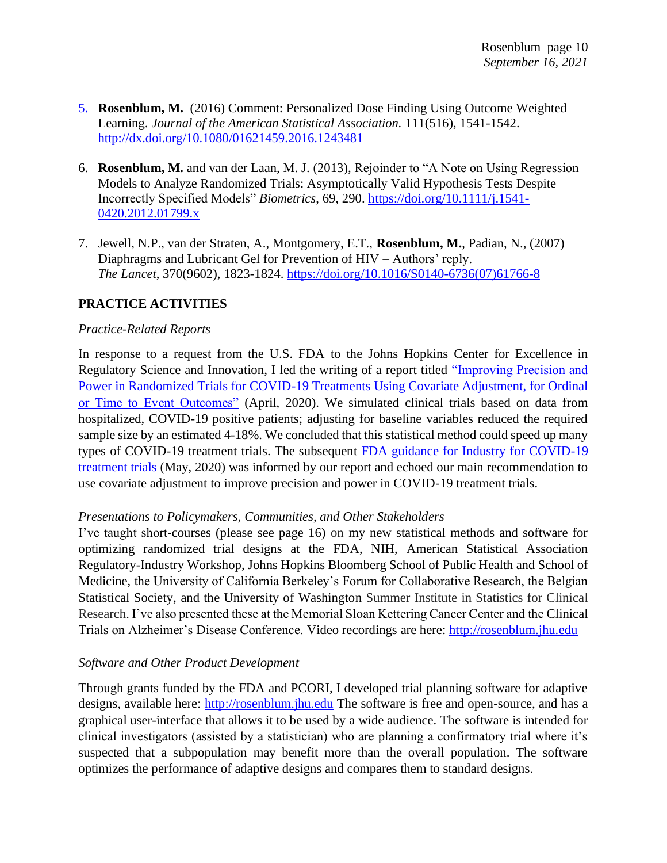- 5. **Rosenblum, M.** (2016) Comment: Personalized Dose Finding Using Outcome Weighted Learning. *Journal of the American Statistical Association.* 111(516)*,* 1541-1542. <http://dx.doi.org/10.1080/01621459.2016.1243481>
- 6. **Rosenblum, M.** and van der Laan, M. J. (2013), Rejoinder to "A Note on Using Regression Models to Analyze Randomized Trials: Asymptotically Valid Hypothesis Tests Despite Incorrectly Specified Models" *Biometrics*, 69, 290. [https://doi.org/10.1111/j.1541-](https://doi.org/10.1111/j.1541-0420.2012.01799.x) [0420.2012.01799.x](https://doi.org/10.1111/j.1541-0420.2012.01799.x)
- 7. Jewell, N.P., van der Straten, A., Montgomery, E.T., **Rosenblum, M.**, Padian, N., (2007) Diaphragms and Lubricant Gel for Prevention of HIV – Authors' reply. *The Lancet*, 370(9602), 1823-1824. [https://doi.org/10.1016/S0140-6736\(07\)61766-8](https://doi.org/10.1016/S0140-6736(07)61766-8)

### **PRACTICE ACTIVITIES**

#### *Practice-Related Reports*

In response to a request from the U.S. FDA to the Johns Hopkins Center for Excellence in Regulatory Science and Innovation, I led the writing of a report titled ["Improving Precision and](https://www.medrxiv.org/content/10.1101/2020.04.19.20069922v1)  [Power in Randomized Trials for COVID-19 Treatments Using Covariate Adjustment, for Ordinal](https://www.medrxiv.org/content/10.1101/2020.04.19.20069922v1)  [or Time to Event Outcomes"](https://www.medrxiv.org/content/10.1101/2020.04.19.20069922v1) (April, 2020). We simulated clinical trials based on data from hospitalized, COVID-19 positive patients; adjusting for baseline variables reduced the required sample size by an estimated 4-18%. We concluded that this statistical method could speed up many types of COVID-19 treatment trials. The subsequent [FDA guidance for Industry for COVID-19](https://www.fda.gov/regulatory-information/search-fda-guidance-documents/covid-19-developing-drugs-and-biological-products-treatment-or-prevention)  [treatment trials](https://www.fda.gov/regulatory-information/search-fda-guidance-documents/covid-19-developing-drugs-and-biological-products-treatment-or-prevention) (May, 2020) was informed by our report and echoed our main recommendation to use covariate adjustment to improve precision and power in COVID-19 treatment trials.

#### *Presentations to Policymakers, Communities, and Other Stakeholders*

I've taught short-courses (please see page 16) on my new statistical methods and software for optimizing randomized trial designs at the FDA, NIH, American Statistical Association Regulatory-Industry Workshop, Johns Hopkins Bloomberg School of Public Health and School of Medicine, the University of California Berkeley's Forum for Collaborative Research, the Belgian Statistical Society, and the University of Washington Summer Institute in Statistics for Clinical Research. I've also presented these at the Memorial Sloan Kettering Cancer Center and the Clinical Trials on Alzheimer's Disease Conference. Video recordings are here: [http://rosenblum.jhu.edu](http://rosenblum.jhu.edu/) 

### *Software and Other Product Development*

Through grants funded by the FDA and PCORI, I developed trial planning software for adaptive designs, available here: [http://rosenblum.jhu.edu](http://rosenblum.jhu.edu/) The software is free and open-source, and has a graphical user-interface that allows it to be used by a wide audience. The software is intended for clinical investigators (assisted by a statistician) who are planning a confirmatory trial where it's suspected that a subpopulation may benefit more than the overall population. The software optimizes the performance of adaptive designs and compares them to standard designs.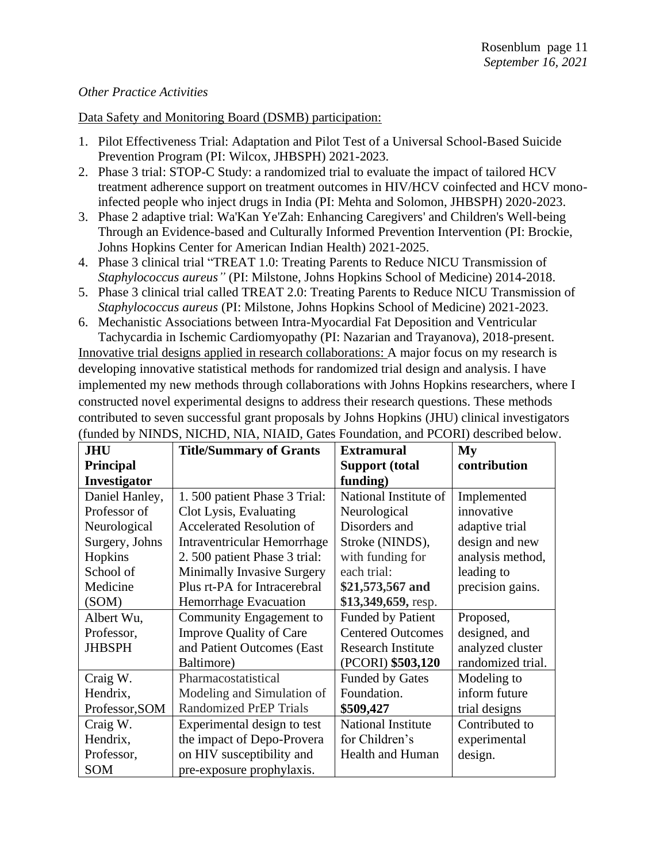#### *Other Practice Activities*

#### Data Safety and Monitoring Board (DSMB) participation:

- 1. Pilot Effectiveness Trial: Adaptation and Pilot Test of a Universal School-Based Suicide Prevention Program (PI: Wilcox, JHBSPH) 2021-2023.
- 2. Phase 3 trial: STOP-C Study: a randomized trial to evaluate the impact of tailored HCV treatment adherence support on treatment outcomes in HIV/HCV coinfected and HCV monoinfected people who inject drugs in India (PI: Mehta and Solomon, JHBSPH) 2020-2023.
- 3. Phase 2 adaptive trial: Wa'Kan Ye'Zah: Enhancing Caregivers' and Children's Well-being Through an Evidence-based and Culturally Informed Prevention Intervention (PI: Brockie, Johns Hopkins Center for American Indian Health) 2021-2025.
- 4. Phase 3 clinical trial "TREAT 1.0: Treating Parents to Reduce NICU Transmission of *Staphylococcus aureus"* (PI: Milstone, Johns Hopkins School of Medicine) 2014-2018.
- 5. Phase 3 clinical trial called TREAT 2.0: Treating Parents to Reduce NICU Transmission of *Staphylococcus aureus* (PI: Milstone, Johns Hopkins School of Medicine) 2021-2023.
- 6. Mechanistic Associations between Intra-Myocardial Fat Deposition and Ventricular Tachycardia in Ischemic Cardiomyopathy (PI: Nazarian and Trayanova), 2018-present.

Innovative trial designs applied in research collaborations: A major focus on my research is developing innovative statistical methods for randomized trial design and analysis. I have implemented my new methods through collaborations with Johns Hopkins researchers, where I constructed novel experimental designs to address their research questions. These methods contributed to seven successful grant proposals by Johns Hopkins (JHU) clinical investigators (funded by NINDS, NICHD, NIA, NIAID, Gates Foundation, and PCORI) described below.

| <b>JHU</b>     | <b>Title/Summary of Grants</b>    | <b>Extramural</b>         | My                |
|----------------|-----------------------------------|---------------------------|-------------------|
| Principal      |                                   | <b>Support (total</b>     | contribution      |
| Investigator   |                                   | funding)                  |                   |
| Daniel Hanley, | 1.500 patient Phase 3 Trial:      | National Institute of     | Implemented       |
| Professor of   | Clot Lysis, Evaluating            | Neurological              | innovative        |
| Neurological   | <b>Accelerated Resolution of</b>  | Disorders and             | adaptive trial    |
| Surgery, Johns | Intraventricular Hemorrhage       | Stroke (NINDS),           | design and new    |
| Hopkins        | 2.500 patient Phase 3 trial:      | with funding for          | analysis method,  |
| School of      | <b>Minimally Invasive Surgery</b> | each trial:               | leading to        |
| Medicine       | Plus rt-PA for Intracerebral      | \$21,573,567 and          | precision gains.  |
| (SOM)          | Hemorrhage Evacuation             | \$13,349,659, resp.       |                   |
| Albert Wu,     | Community Engagement to           | <b>Funded by Patient</b>  | Proposed,         |
| Professor,     | <b>Improve Quality of Care</b>    | <b>Centered Outcomes</b>  | designed, and     |
| <b>JHBSPH</b>  | and Patient Outcomes (East        | <b>Research Institute</b> | analyzed cluster  |
|                | Baltimore)                        | (PCORI) \$503,120         | randomized trial. |
| Craig W.       | Pharmacostatistical               | <b>Funded by Gates</b>    | Modeling to       |
| Hendrix,       | Modeling and Simulation of        | Foundation.               | inform future     |
| Professor, SOM | <b>Randomized PrEP Trials</b>     | \$509,427                 | trial designs     |
| Craig W.       | Experimental design to test       | <b>National Institute</b> | Contributed to    |
| Hendrix,       | the impact of Depo-Provera        | for Children's            | experimental      |
| Professor,     | on HIV susceptibility and         | Health and Human          | design.           |
| SOM            | pre-exposure prophylaxis.         |                           |                   |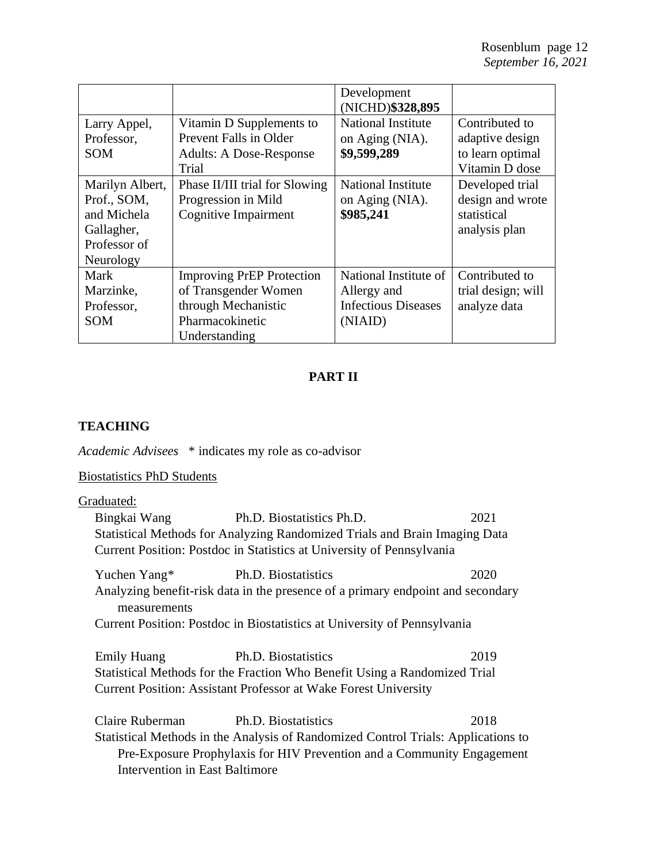|                                                                                          |                                                                                                                     | Development<br>(NICHD)\$328,895                                               |                                                                         |
|------------------------------------------------------------------------------------------|---------------------------------------------------------------------------------------------------------------------|-------------------------------------------------------------------------------|-------------------------------------------------------------------------|
| Larry Appel,<br>Professor,<br><b>SOM</b>                                                 | Vitamin D Supplements to<br>Prevent Falls in Older<br><b>Adults: A Dose-Response</b><br>Trial                       | <b>National Institute</b><br>on Aging (NIA).<br>\$9,599,289                   | Contributed to<br>adaptive design<br>to learn optimal<br>Vitamin D dose |
| Marilyn Albert,<br>Prof., SOM,<br>and Michela<br>Gallagher,<br>Professor of<br>Neurology | Phase II/III trial for Slowing<br>Progression in Mild<br><b>Cognitive Impairment</b>                                | <b>National Institute</b><br>on Aging (NIA).<br>\$985,241                     | Developed trial<br>design and wrote<br>statistical<br>analysis plan     |
| Mark<br>Marzinke,<br>Professor,<br><b>SOM</b>                                            | <b>Improving PrEP Protection</b><br>of Transgender Women<br>through Mechanistic<br>Pharmacokinetic<br>Understanding | National Institute of<br>Allergy and<br><b>Infectious Diseases</b><br>(NIAID) | Contributed to<br>trial design; will<br>analyze data                    |

# **PART II**

# **TEACHING**

*Academic Advisees* \* indicates my role as co-advisor

# Biostatistics PhD Students

Graduated:

| Bingkai Wang                          | Ph.D. Biostatistics Ph.D.                                                         | 2021 |
|---------------------------------------|-----------------------------------------------------------------------------------|------|
|                                       | Statistical Methods for Analyzing Randomized Trials and Brain Imaging Data        |      |
|                                       | Current Position: Postdoc in Statistics at University of Pennsylvania             |      |
| Yuchen Yang* Ph.D. Biostatistics      |                                                                                   | 2020 |
| measurements                          | Analyzing benefit-risk data in the presence of a primary endpoint and secondary   |      |
|                                       | Current Position: Postdoc in Biostatistics at University of Pennsylvania          |      |
| <b>Emily Huang</b>                    | Ph.D. Biostatistics                                                               | 2019 |
|                                       | Statistical Methods for the Fraction Who Benefit Using a Randomized Trial         |      |
|                                       | Current Position: Assistant Professor at Wake Forest University                   |      |
| Claire Ruberman                       | Ph.D. Biostatistics                                                               | 2018 |
|                                       | Statistical Methods in the Analysis of Randomized Control Trials: Applications to |      |
|                                       | Pre-Exposure Prophylaxis for HIV Prevention and a Community Engagement            |      |
| <b>Intervention in East Baltimore</b> |                                                                                   |      |
|                                       |                                                                                   |      |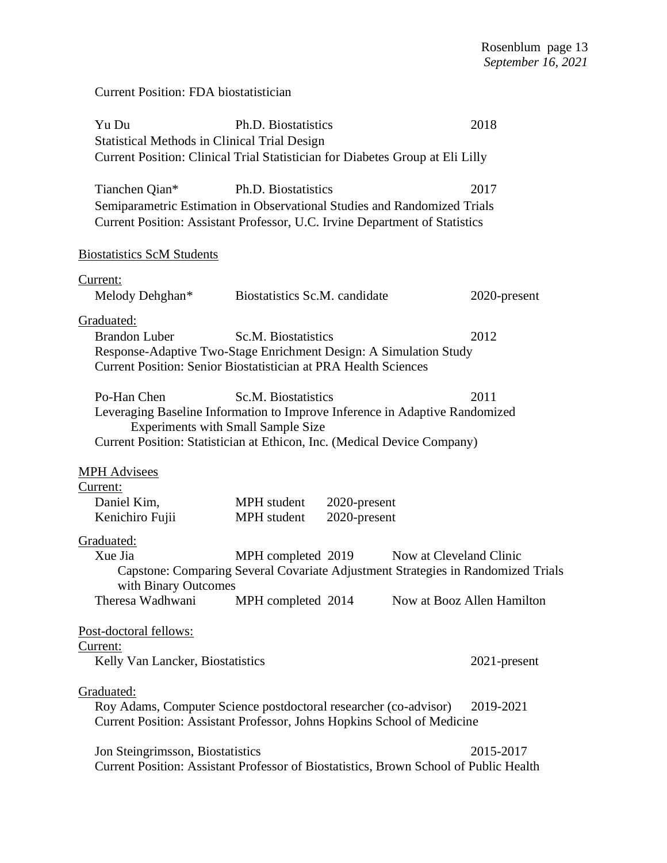# Current Position: FDA biostatistician

| Yu Du                                                                                                    | Ph.D. Biostatistics                        |              | 2018                       |
|----------------------------------------------------------------------------------------------------------|--------------------------------------------|--------------|----------------------------|
| <b>Statistical Methods in Clinical Trial Design</b>                                                      |                                            |              |                            |
| Current Position: Clinical Trial Statistician for Diabetes Group at Eli Lilly                            |                                            |              |                            |
| Tianchen Qian*                                                                                           | Ph.D. Biostatistics                        |              | 2017                       |
| Semiparametric Estimation in Observational Studies and Randomized Trials                                 |                                            |              |                            |
| Current Position: Assistant Professor, U.C. Irvine Department of Statistics                              |                                            |              |                            |
|                                                                                                          |                                            |              |                            |
| <b>Biostatistics ScM Students</b>                                                                        |                                            |              |                            |
| Current:                                                                                                 |                                            |              |                            |
| Melody Dehghan*                                                                                          | Biostatistics Sc.M. candidate              |              | 2020-present               |
| Graduated:                                                                                               |                                            |              |                            |
| <b>Brandon Luber</b>                                                                                     | Sc.M. Biostatistics                        |              | 2012                       |
| Response-Adaptive Two-Stage Enrichment Design: A Simulation Study                                        |                                            |              |                            |
| <b>Current Position: Senior Biostatistician at PRA Health Sciences</b>                                   |                                            |              |                            |
| Po-Han Chen                                                                                              | Sc.M. Biostatistics                        |              | 2011                       |
| Leveraging Baseline Information to Improve Inference in Adaptive Randomized                              |                                            |              |                            |
| <b>Experiments with Small Sample Size</b>                                                                |                                            |              |                            |
| Current Position: Statistician at Ethicon, Inc. (Medical Device Company)                                 |                                            |              |                            |
| <b>MPH Advisees</b>                                                                                      |                                            |              |                            |
| <u>Current:</u>                                                                                          |                                            |              |                            |
| Daniel Kim,                                                                                              | MPH student                                | 2020-present |                            |
| Kenichiro Fujii                                                                                          | MPH student                                | 2020-present |                            |
| Graduated:                                                                                               |                                            |              |                            |
| Xue Jia                                                                                                  | MPH completed 2019 Now at Cleveland Clinic |              |                            |
| Capstone: Comparing Several Covariate Adjustment Strategies in Randomized Trials<br>with Binary Outcomes |                                            |              |                            |
| Theresa Wadhwani                                                                                         | MPH completed 2014                         |              | Now at Booz Allen Hamilton |
|                                                                                                          |                                            |              |                            |
| Post-doctoral fellows:                                                                                   |                                            |              |                            |
| <u>Current:</u><br>Kelly Van Lancker, Biostatistics                                                      |                                            |              | $2021$ -present            |
|                                                                                                          |                                            |              |                            |
| Graduated:                                                                                               |                                            |              |                            |
| Roy Adams, Computer Science postdoctoral researcher (co-advisor)                                         |                                            |              | 2019-2021                  |
| Current Position: Assistant Professor, Johns Hopkins School of Medicine                                  |                                            |              |                            |
| Jon Steingrimsson, Biostatistics                                                                         |                                            |              | 2015-2017                  |
| Current Position: Assistant Professor of Biostatistics, Brown School of Public Health                    |                                            |              |                            |
|                                                                                                          |                                            |              |                            |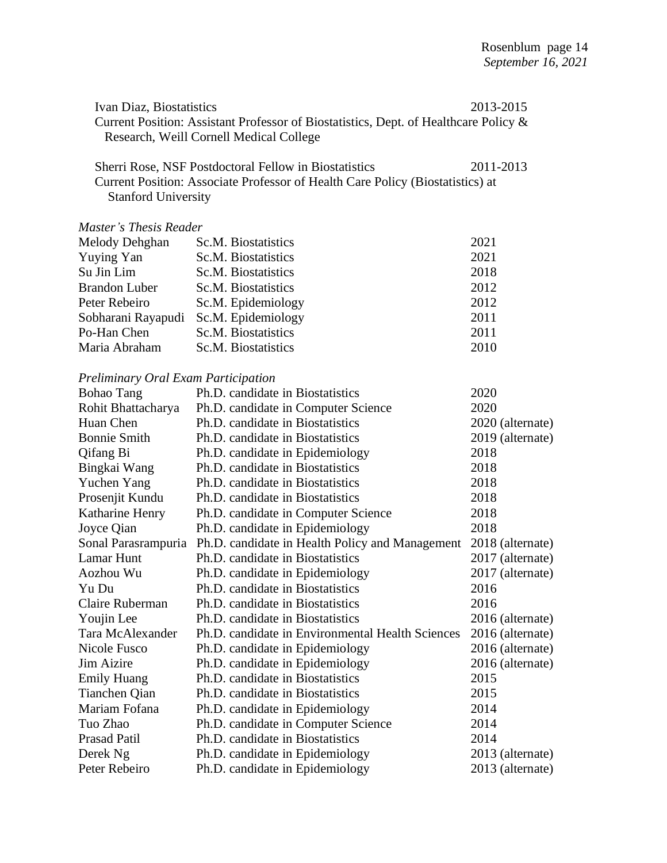| Ivan Diaz, Biostatistics                                                             |                                                                                      | 2013-2015        |  |
|--------------------------------------------------------------------------------------|--------------------------------------------------------------------------------------|------------------|--|
| Current Position: Assistant Professor of Biostatistics, Dept. of Healthcare Policy & |                                                                                      |                  |  |
|                                                                                      | Research, Weill Cornell Medical College                                              |                  |  |
|                                                                                      |                                                                                      |                  |  |
|                                                                                      | Sherri Rose, NSF Postdoctoral Fellow in Biostatistics                                | 2011-2013        |  |
|                                                                                      | Current Position: Associate Professor of Health Care Policy (Biostatistics) at       |                  |  |
| <b>Stanford University</b>                                                           |                                                                                      |                  |  |
|                                                                                      |                                                                                      |                  |  |
| <b>Master's Thesis Reader</b>                                                        |                                                                                      |                  |  |
| Melody Dehghan                                                                       | Sc.M. Biostatistics                                                                  | 2021             |  |
| <b>Yuying Yan</b>                                                                    | Sc.M. Biostatistics                                                                  | 2021             |  |
| Su Jin Lim                                                                           | Sc.M. Biostatistics                                                                  | 2018             |  |
| <b>Brandon Luber</b>                                                                 | Sc.M. Biostatistics                                                                  | 2012             |  |
| Peter Rebeiro                                                                        | Sc.M. Epidemiology                                                                   | 2012             |  |
| Sobharani Rayapudi                                                                   | Sc.M. Epidemiology                                                                   | 2011             |  |
| Po-Han Chen                                                                          | Sc.M. Biostatistics                                                                  | 2011             |  |
| Maria Abraham                                                                        | Sc.M. Biostatistics                                                                  | 2010             |  |
|                                                                                      |                                                                                      |                  |  |
| <b>Preliminary Oral Exam Participation</b>                                           |                                                                                      |                  |  |
| <b>Bohao Tang</b>                                                                    | Ph.D. candidate in Biostatistics                                                     | 2020             |  |
| Rohit Bhattacharya                                                                   | Ph.D. candidate in Computer Science                                                  | 2020             |  |
| Huan Chen                                                                            | Ph.D. candidate in Biostatistics                                                     | 2020 (alternate) |  |
| <b>Bonnie Smith</b>                                                                  | Ph.D. candidate in Biostatistics                                                     | 2019 (alternate) |  |
| Qifang Bi                                                                            | Ph.D. candidate in Epidemiology                                                      | 2018             |  |
| Bingkai Wang                                                                         | Ph.D. candidate in Biostatistics                                                     | 2018             |  |
| Yuchen Yang                                                                          | Ph.D. candidate in Biostatistics                                                     | 2018             |  |
| Prosenjit Kundu                                                                      | Ph.D. candidate in Biostatistics                                                     | 2018             |  |
| Katharine Henry                                                                      | Ph.D. candidate in Computer Science                                                  | 2018             |  |
| Joyce Qian                                                                           | Ph.D. candidate in Epidemiology                                                      | 2018             |  |
|                                                                                      | Sonal Parasrampuria Ph.D. candidate in Health Policy and Management 2018 (alternate) |                  |  |
| Lamar Hunt                                                                           | Ph.D. candidate in Biostatistics                                                     | 2017 (alternate) |  |
| Aozhou Wu                                                                            | Ph.D. candidate in Epidemiology                                                      | 2017 (alternate) |  |
| Yu Du                                                                                | Ph.D. candidate in Biostatistics                                                     | 2016             |  |
| Claire Ruberman                                                                      | Ph.D. candidate in Biostatistics                                                     | 2016             |  |
| Youjin Lee                                                                           | Ph.D. candidate in Biostatistics                                                     | 2016 (alternate) |  |
| Tara McAlexander                                                                     | Ph.D. candidate in Environmental Health Sciences                                     | 2016 (alternate) |  |
| Nicole Fusco                                                                         | Ph.D. candidate in Epidemiology                                                      | 2016 (alternate) |  |
| Jim Aizire                                                                           | Ph.D. candidate in Epidemiology                                                      | 2016 (alternate) |  |
| <b>Emily Huang</b>                                                                   | Ph.D. candidate in Biostatistics                                                     | 2015             |  |
| Tianchen Qian                                                                        | Ph.D. candidate in Biostatistics                                                     | 2015             |  |
| Mariam Fofana                                                                        | Ph.D. candidate in Epidemiology                                                      | 2014             |  |
| Tuo Zhao                                                                             | Ph.D. candidate in Computer Science                                                  | 2014             |  |
| <b>Prasad Patil</b>                                                                  | Ph.D. candidate in Biostatistics                                                     | 2014             |  |
| Derek Ng                                                                             | Ph.D. candidate in Epidemiology                                                      | 2013 (alternate) |  |
| Peter Rebeiro                                                                        | Ph.D. candidate in Epidemiology                                                      | 2013 (alternate) |  |
|                                                                                      |                                                                                      |                  |  |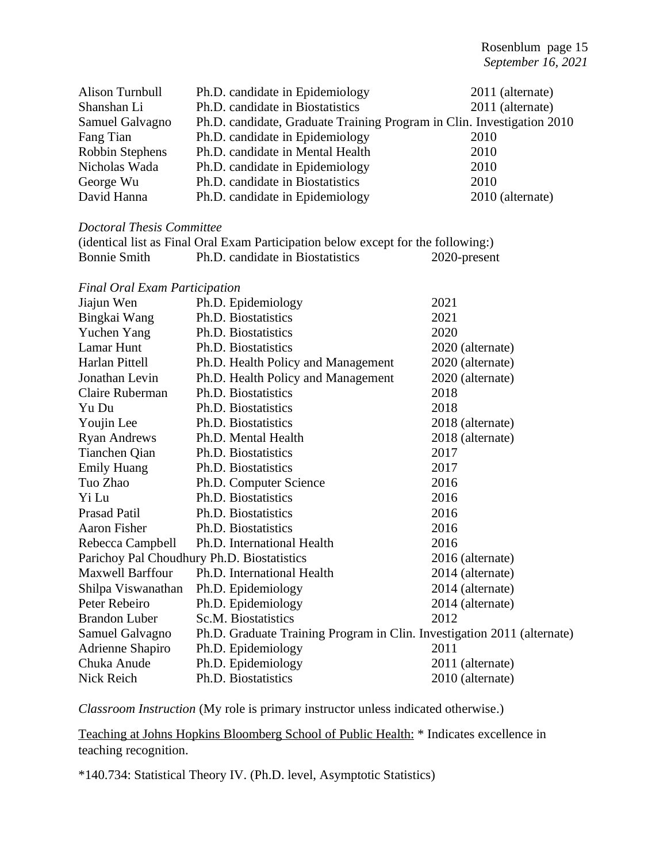| Alison Turnbull           | Ph.D. candidate in Epidemiology                                        | 2011 (alternate) |
|---------------------------|------------------------------------------------------------------------|------------------|
| Shanshan Li               | Ph.D. candidate in Biostatistics                                       | 2011 (alternate) |
| Samuel Galvagno           | Ph.D. candidate, Graduate Training Program in Clin. Investigation 2010 |                  |
| Fang Tian                 | Ph.D. candidate in Epidemiology                                        | 2010             |
| Robbin Stephens           | Ph.D. candidate in Mental Health                                       | 2010             |
| Nicholas Wada             | Ph.D. candidate in Epidemiology                                        | 2010             |
| George Wu                 | Ph.D. candidate in Biostatistics                                       | 2010             |
| David Hanna               | Ph.D. candidate in Epidemiology                                        | 2010 (alternate) |
|                           |                                                                        |                  |
| Doctoral Thesis Committee |                                                                        |                  |

# (identical list as Final Oral Exam Participation below except for the following:) Bonnie Smith Ph.D. candidate in Biostatistics 2020-present *Final Oral Exam Participation*

| т та ота емин ганиранон |                                                                         |                  |
|-------------------------|-------------------------------------------------------------------------|------------------|
| Jiajun Wen              | Ph.D. Epidemiology                                                      | 2021             |
| Bingkai Wang            | Ph.D. Biostatistics                                                     | 2021             |
| Yuchen Yang             | Ph.D. Biostatistics                                                     | 2020             |
| Lamar Hunt              | Ph.D. Biostatistics                                                     | 2020 (alternate) |
| Harlan Pittell          | Ph.D. Health Policy and Management                                      | 2020 (alternate) |
| Jonathan Levin          | Ph.D. Health Policy and Management                                      | 2020 (alternate) |
| Claire Ruberman         | Ph.D. Biostatistics                                                     | 2018             |
| Yu Du                   | Ph.D. Biostatistics                                                     | 2018             |
| Youjin Lee              | Ph.D. Biostatistics                                                     | 2018 (alternate) |
| <b>Ryan Andrews</b>     | Ph.D. Mental Health                                                     | 2018 (alternate) |
| Tianchen Qian           | Ph.D. Biostatistics                                                     | 2017             |
| <b>Emily Huang</b>      | Ph.D. Biostatistics                                                     | 2017             |
| Tuo Zhao                | Ph.D. Computer Science                                                  | 2016             |
| Yi Lu                   | Ph.D. Biostatistics                                                     | 2016             |
| Prasad Patil            | Ph.D. Biostatistics                                                     | 2016             |
| <b>Aaron Fisher</b>     | Ph.D. Biostatistics                                                     | 2016             |
| Rebecca Campbell        | Ph.D. International Health                                              | 2016             |
|                         | Parichoy Pal Choudhury Ph.D. Biostatistics                              | 2016 (alternate) |
| <b>Maxwell Barffour</b> | Ph.D. International Health                                              | 2014 (alternate) |
| Shilpa Viswanathan      | Ph.D. Epidemiology                                                      | 2014 (alternate) |
| Peter Rebeiro           | Ph.D. Epidemiology                                                      | 2014 (alternate) |
| <b>Brandon Luber</b>    | Sc.M. Biostatistics                                                     | 2012             |
| Samuel Galvagno         | Ph.D. Graduate Training Program in Clin. Investigation 2011 (alternate) |                  |
| Adrienne Shapiro        | Ph.D. Epidemiology                                                      | 2011             |
| Chuka Anude             | Ph.D. Epidemiology                                                      | 2011 (alternate) |
| Nick Reich              | Ph.D. Biostatistics                                                     | 2010 (alternate) |
|                         |                                                                         |                  |

*Classroom Instruction* (My role is primary instructor unless indicated otherwise.)

Teaching at Johns Hopkins Bloomberg School of Public Health: \* Indicates excellence in teaching recognition.

\*140.734: Statistical Theory IV. (Ph.D. level, Asymptotic Statistics)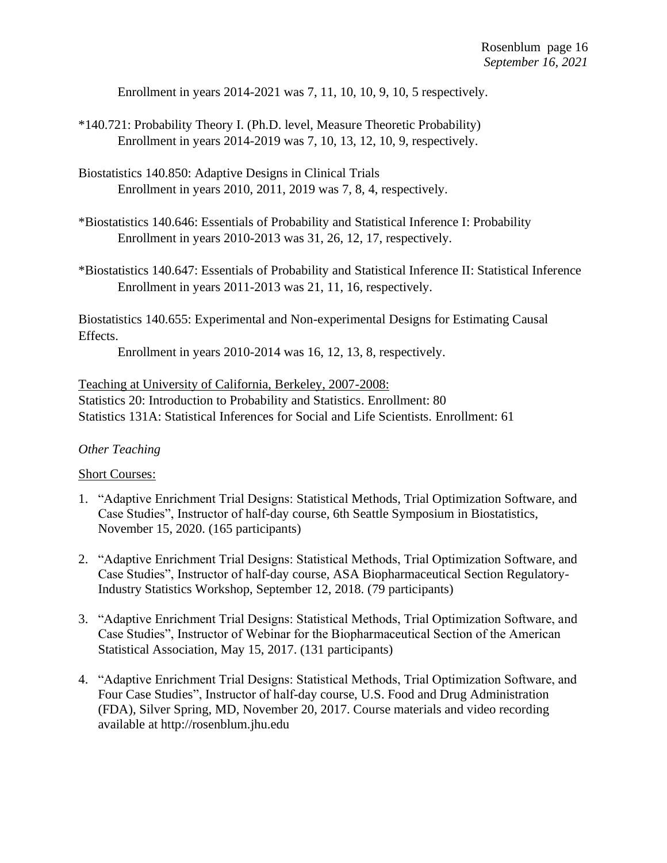Enrollment in years 2014-2021 was 7, 11, 10, 10, 9, 10, 5 respectively.

- \*140.721: Probability Theory I. (Ph.D. level, Measure Theoretic Probability) Enrollment in years 2014-2019 was 7, 10, 13, 12, 10, 9, respectively.
- Biostatistics 140.850: Adaptive Designs in Clinical Trials Enrollment in years 2010, 2011, 2019 was 7, 8, 4, respectively.
- \*Biostatistics 140.646: Essentials of Probability and Statistical Inference I: Probability Enrollment in years 2010-2013 was 31, 26, 12, 17, respectively.
- \*Biostatistics 140.647: Essentials of Probability and Statistical Inference II: Statistical Inference Enrollment in years 2011-2013 was 21, 11, 16, respectively.

Biostatistics 140.655: Experimental and Non-experimental Designs for Estimating Causal Effects.

Enrollment in years 2010-2014 was 16, 12, 13, 8, respectively.

Teaching at University of California, Berkeley, 2007-2008: Statistics 20: Introduction to Probability and Statistics. Enrollment: 80 Statistics 131A: Statistical Inferences for Social and Life Scientists. Enrollment: 61

### *Other Teaching*

#### Short Courses:

- 1. "Adaptive Enrichment Trial Designs: Statistical Methods, Trial Optimization Software, and Case Studies", Instructor of half-day course, 6th Seattle Symposium in Biostatistics, November 15, 2020. (165 participants)
- 2. "Adaptive Enrichment Trial Designs: Statistical Methods, Trial Optimization Software, and Case Studies", Instructor of half-day course, ASA Biopharmaceutical Section Regulatory-Industry Statistics Workshop, September 12, 2018. (79 participants)
- 3. "Adaptive Enrichment Trial Designs: Statistical Methods, Trial Optimization Software, and Case Studies", Instructor of Webinar for the Biopharmaceutical Section of the American Statistical Association, May 15, 2017. (131 participants)
- 4. "Adaptive Enrichment Trial Designs: Statistical Methods, Trial Optimization Software, and Four Case Studies", Instructor of half-day course, U.S. Food and Drug Administration (FDA), Silver Spring, MD, November 20, 2017. Course materials and video recording available at http://rosenblum.jhu.edu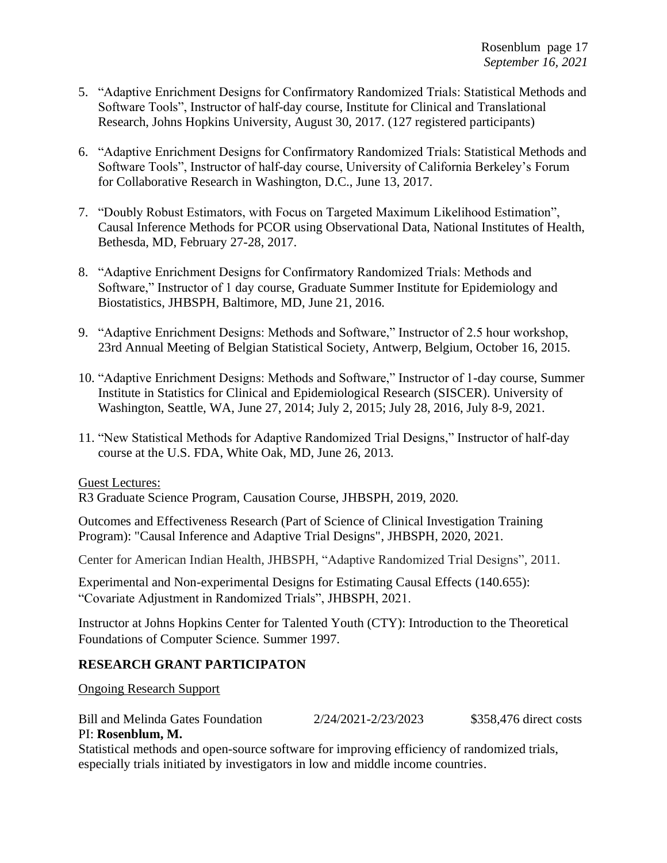- 5. "Adaptive Enrichment Designs for Confirmatory Randomized Trials: Statistical Methods and Software Tools", Instructor of half-day course, Institute for Clinical and Translational Research, Johns Hopkins University, August 30, 2017. (127 registered participants)
- 6. "Adaptive Enrichment Designs for Confirmatory Randomized Trials: Statistical Methods and Software Tools", Instructor of half-day course, University of California Berkeley's Forum for Collaborative Research in Washington, D.C., June 13, 2017.
- 7. "Doubly Robust Estimators, with Focus on Targeted Maximum Likelihood Estimation", Causal Inference Methods for PCOR using Observational Data, National Institutes of Health, Bethesda, MD, February 27-28, 2017.
- 8. "Adaptive Enrichment Designs for Confirmatory Randomized Trials: Methods and Software," Instructor of 1 day course, Graduate Summer Institute for Epidemiology and Biostatistics, JHBSPH, Baltimore, MD, June 21, 2016.
- 9. "Adaptive Enrichment Designs: Methods and Software," Instructor of 2.5 hour workshop, 23rd Annual Meeting of Belgian Statistical Society, Antwerp, Belgium, October 16, 2015.
- 10. "Adaptive Enrichment Designs: Methods and Software," Instructor of 1-day course, Summer Institute in Statistics for Clinical and Epidemiological Research (SISCER). University of Washington, Seattle, WA, June 27, 2014; July 2, 2015; July 28, 2016, July 8-9, 2021.
- 11. "New Statistical Methods for Adaptive Randomized Trial Designs," Instructor of half-day course at the U.S. FDA, White Oak, MD, June 26, 2013.

#### Guest Lectures:

R3 Graduate Science Program, Causation Course, JHBSPH, 2019, 2020*.*

Outcomes and Effectiveness Research (Part of Science of Clinical Investigation Training Program): "Causal Inference and Adaptive Trial Designs", JHBSPH, 2020, 2021.

Center for American Indian Health, JHBSPH, "Adaptive Randomized Trial Designs", 2011.

Experimental and Non-experimental Designs for Estimating Causal Effects (140.655): "Covariate Adjustment in Randomized Trials", JHBSPH, 2021.

Instructor at Johns Hopkins Center for Talented Youth (CTY): Introduction to the Theoretical Foundations of Computer Science*.* Summer 1997.

### **RESEARCH GRANT PARTICIPATON**

Ongoing Research Support

Bill and Melinda Gates Foundation 2/24/2021-2/23/2023 \$358,476 direct costs

### PI: **Rosenblum, M.**

Statistical methods and open-source software for improving efficiency of randomized trials, especially trials initiated by investigators in low and middle income countries.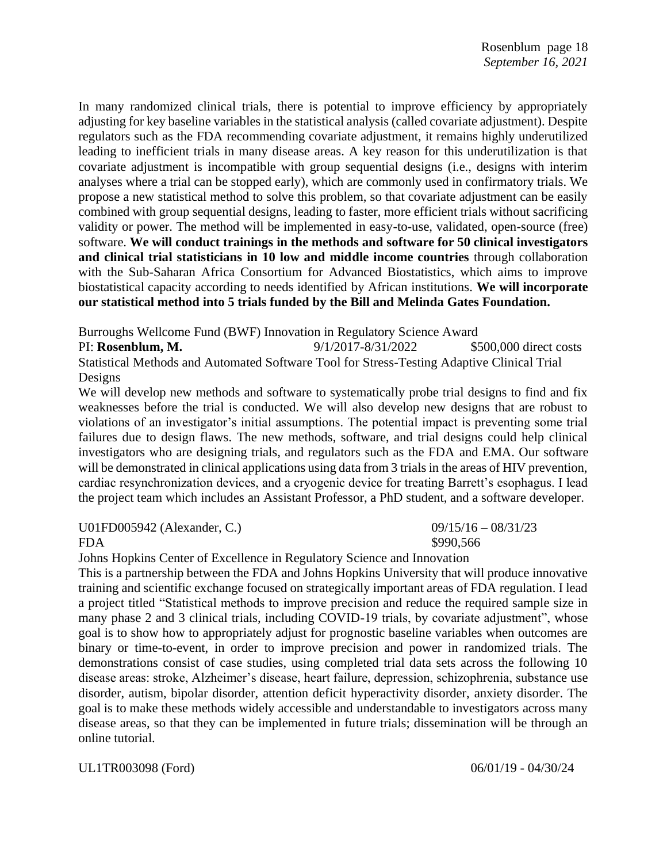In many randomized clinical trials, there is potential to improve efficiency by appropriately adjusting for key baseline variables in the statistical analysis (called covariate adjustment). Despite regulators such as the FDA recommending covariate adjustment, it remains highly underutilized leading to inefficient trials in many disease areas. A key reason for this underutilization is that covariate adjustment is incompatible with group sequential designs (i.e., designs with interim analyses where a trial can be stopped early), which are commonly used in confirmatory trials. We propose a new statistical method to solve this problem, so that covariate adjustment can be easily combined with group sequential designs, leading to faster, more efficient trials without sacrificing validity or power. The method will be implemented in easy-to-use, validated, open-source (free) software. **We will conduct trainings in the methods and software for 50 clinical investigators and clinical trial statisticians in 10 low and middle income countries** through collaboration with the Sub-Saharan Africa Consortium for Advanced Biostatistics, which aims to improve biostatistical capacity according to needs identified by African institutions. **We will incorporate our statistical method into 5 trials funded by the Bill and Melinda Gates Foundation.**

Burroughs Wellcome Fund (BWF) Innovation in Regulatory Science Award

PI: **Rosenblum, M.** 9/1/2017-8/31/2022 \$500,000 direct costs Statistical Methods and Automated Software Tool for Stress-Testing Adaptive Clinical Trial Designs

We will develop new methods and software to systematically probe trial designs to find and fix weaknesses before the trial is conducted. We will also develop new designs that are robust to violations of an investigator's initial assumptions. The potential impact is preventing some trial failures due to design flaws. The new methods, software, and trial designs could help clinical investigators who are designing trials, and regulators such as the FDA and EMA. Our software will be demonstrated in clinical applications using data from 3 trials in the areas of HIV prevention, cardiac resynchronization devices, and a cryogenic device for treating Barrett's esophagus. I lead the project team which includes an Assistant Professor, a PhD student, and a software developer.

U01FD005942 (Alexander, C.) 09/15/16 – 08/31/23

Johns Hopkins Center of Excellence in Regulatory Science and Innovation

This is a partnership between the FDA and Johns Hopkins University that will produce innovative training and scientific exchange focused on strategically important areas of FDA regulation. I lead a project titled "Statistical methods to improve precision and reduce the required sample size in many phase 2 and 3 clinical trials, including COVID-19 trials, by covariate adjustment", whose goal is to show how to appropriately adjust for prognostic baseline variables when outcomes are binary or time-to-event, in order to improve precision and power in randomized trials. The demonstrations consist of case studies, using completed trial data sets across the following 10 disease areas: stroke, Alzheimer's disease, heart failure, depression, schizophrenia, substance use disorder, autism, bipolar disorder, attention deficit hyperactivity disorder, anxiety disorder. The goal is to make these methods widely accessible and understandable to investigators across many disease areas, so that they can be implemented in future trials; dissemination will be through an online tutorial.

UL1TR003098 (Ford) 06/01/19 - 04/30/24

FDA \$990,566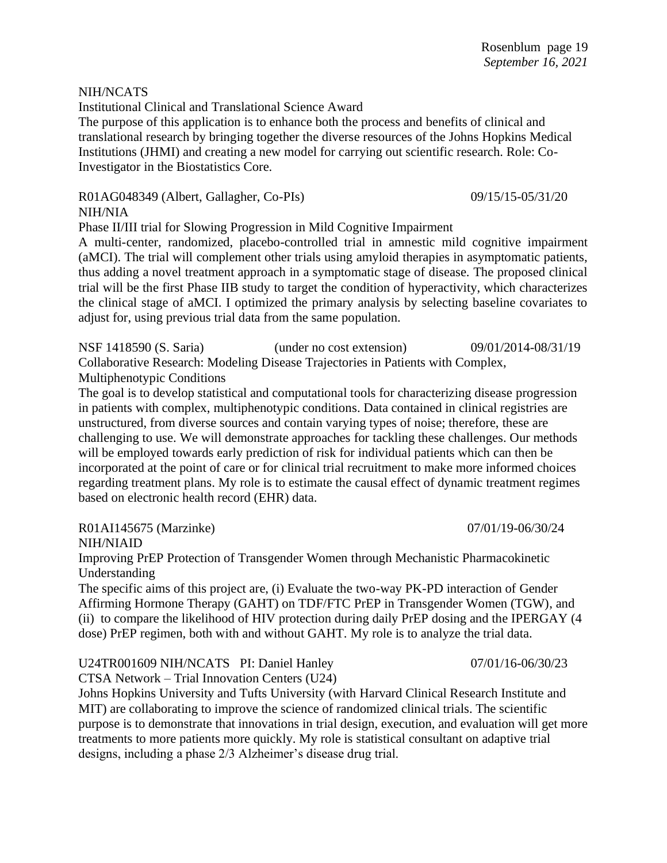#### NIH/NCATS

Institutional Clinical and Translational Science Award

The purpose of this application is to enhance both the process and benefits of clinical and translational research by bringing together the diverse resources of the Johns Hopkins Medical Institutions (JHMI) and creating a new model for carrying out scientific research. Role: Co-Investigator in the Biostatistics Core.

R01AG048349 (Albert, Gallagher, Co-PIs) 09/15/15-05/31/20

NIH/NIA

Phase II/III trial for Slowing Progression in Mild Cognitive Impairment

A multi-center, randomized, placebo-controlled trial in amnestic mild cognitive impairment (aMCI). The trial will complement other trials using amyloid therapies in asymptomatic patients, thus adding a novel treatment approach in a symptomatic stage of disease. The proposed clinical trial will be the first Phase IIB study to target the condition of hyperactivity, which characterizes the clinical stage of aMCI. I optimized the primary analysis by selecting baseline covariates to adjust for, using previous trial data from the same population.

NSF 1418590 (S. Saria) (under no cost extension) 09/01/2014-08/31/19 Collaborative Research: Modeling Disease Trajectories in Patients with Complex, Multiphenotypic Conditions

The goal is to develop statistical and computational tools for characterizing disease progression in patients with complex, multiphenotypic conditions. Data contained in clinical registries are unstructured, from diverse sources and contain varying types of noise; therefore, these are challenging to use. We will demonstrate approaches for tackling these challenges. Our methods will be employed towards early prediction of risk for individual patients which can then be incorporated at the point of care or for clinical trial recruitment to make more informed choices regarding treatment plans. My role is to estimate the causal effect of dynamic treatment regimes based on electronic health record (EHR) data.

#### R01AI145675 (Marzinke) 07/01/19-06/30/24

NIH/NIAID

Improving PrEP Protection of Transgender Women through Mechanistic Pharmacokinetic Understanding

The specific aims of this project are, (i) Evaluate the two-way PK-PD interaction of Gender Affirming Hormone Therapy (GAHT) on TDF/FTC PrEP in Transgender Women (TGW), and (ii) to compare the likelihood of HIV protection during daily PrEP dosing and the IPERGAY (4 dose) PrEP regimen, both with and without GAHT. My role is to analyze the trial data.

U24TR001609 NIH/NCATS PI: Daniel Hanley 07/01/16-06/30/23

CTSA Network – Trial Innovation Centers (U24)

Johns Hopkins University and Tufts University (with Harvard Clinical Research Institute and MIT) are collaborating to improve the science of randomized clinical trials. The scientific purpose is to demonstrate that innovations in trial design, execution, and evaluation will get more treatments to more patients more quickly. My role is statistical consultant on adaptive trial designs, including a phase 2/3 Alzheimer's disease drug trial.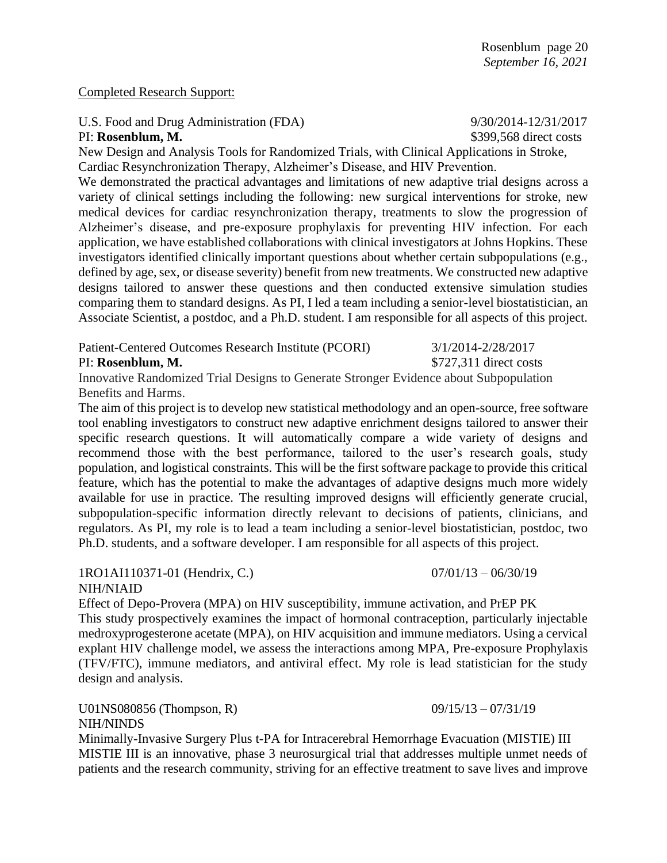#### Completed Research Support:

### U.S. Food and Drug Administration (FDA) 9/30/2014-12/31/2017

PI: **Rosenblum, M.**  $$399,568$  direct costs

New Design and Analysis Tools for Randomized Trials, with Clinical Applications in Stroke, Cardiac Resynchronization Therapy, Alzheimer's Disease, and HIV Prevention.

We demonstrated the practical advantages and limitations of new adaptive trial designs across a variety of clinical settings including the following: new surgical interventions for stroke, new medical devices for cardiac resynchronization therapy, treatments to slow the progression of Alzheimer's disease, and pre-exposure prophylaxis for preventing HIV infection. For each application, we have established collaborations with clinical investigators at Johns Hopkins. These investigators identified clinically important questions about whether certain subpopulations (e.g., defined by age, sex, or disease severity) benefit from new treatments. We constructed new adaptive designs tailored to answer these questions and then conducted extensive simulation studies comparing them to standard designs. As PI, I led a team including a senior-level biostatistician, an Associate Scientist, a postdoc, and a Ph.D. student. I am responsible for all aspects of this project.

Patient-Centered Outcomes Research Institute (PCORI) 3/1/2014-2/28/2017

#### PI: **Rosenblum, M.**  $$727.311$  direct costs

Innovative Randomized Trial Designs to Generate Stronger Evidence about Subpopulation Benefits and Harms.

The aim of this project is to develop new statistical methodology and an open-source, free software tool enabling investigators to construct new adaptive enrichment designs tailored to answer their specific research questions. It will automatically compare a wide variety of designs and recommend those with the best performance, tailored to the user's research goals, study population, and logistical constraints. This will be the first software package to provide this critical feature, which has the potential to make the advantages of adaptive designs much more widely available for use in practice. The resulting improved designs will efficiently generate crucial, subpopulation-specific information directly relevant to decisions of patients, clinicians, and regulators. As PI, my role is to lead a team including a senior-level biostatistician, postdoc, two Ph.D. students, and a software developer. I am responsible for all aspects of this project.

1RO1AI110371-01 (Hendrix, C.) 07/01/13 – 06/30/19 NIH/NIAID

Effect of Depo-Provera (MPA) on HIV susceptibility, immune activation, and PrEP PK This study prospectively examines the impact of hormonal contraception, particularly injectable medroxyprogesterone acetate (MPA), on HIV acquisition and immune mediators. Using a cervical explant HIV challenge model, we assess the interactions among MPA, Pre-exposure Prophylaxis (TFV/FTC), immune mediators, and antiviral effect. My role is lead statistician for the study design and analysis.

U01NS080856 (Thompson, R) 09/15/13 – 07/31/19 NIH/NINDS

Minimally-Invasive Surgery Plus t-PA for Intracerebral Hemorrhage Evacuation (MISTIE) III MISTIE III is an innovative, phase 3 neurosurgical trial that addresses multiple unmet needs of patients and the research community, striving for an effective treatment to save lives and improve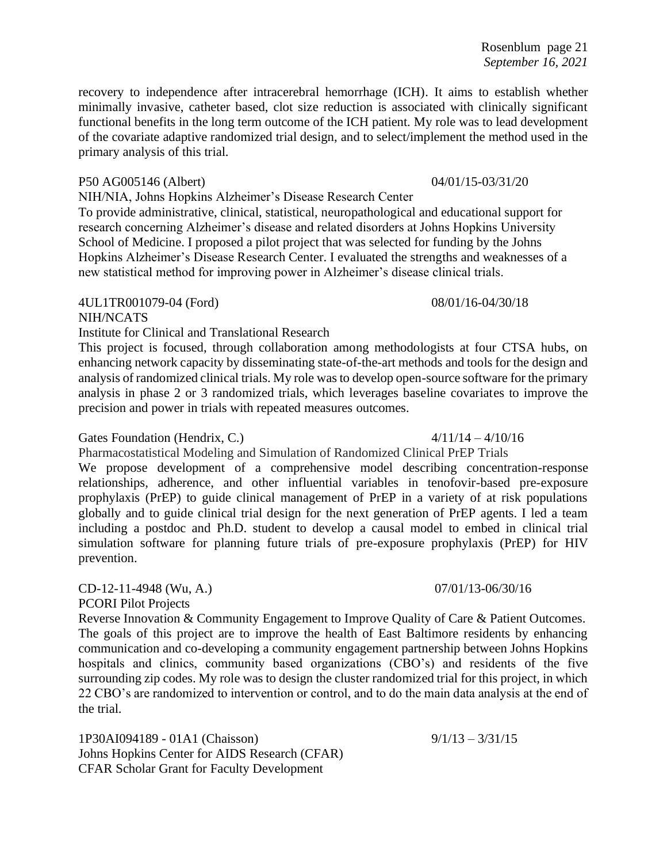recovery to independence after intracerebral hemorrhage (ICH). It aims to establish whether minimally invasive, catheter based, clot size reduction is associated with clinically significant functional benefits in the long term outcome of the ICH patient. My role was to lead development of the covariate adaptive randomized trial design, and to select/implement the method used in the primary analysis of this trial.

#### P50 AG005146 (Albert) 04/01/15-03/31/20

NIH/NIA, Johns Hopkins Alzheimer's Disease Research Center

To provide administrative, clinical, statistical, neuropathological and educational support for research concerning Alzheimer's disease and related disorders at Johns Hopkins University School of Medicine. I proposed a pilot project that was selected for funding by the Johns Hopkins Alzheimer's Disease Research Center. I evaluated the strengths and weaknesses of a new statistical method for improving power in Alzheimer's disease clinical trials.

#### 4UL1TR001079-04 (Ford) 08/01/16-04/30/18

# NIH/NCATS

Institute for Clinical and Translational Research

This project is focused, through collaboration among methodologists at four CTSA hubs, on enhancing network capacity by disseminating state-of-the-art methods and tools for the design and analysis of randomized clinical trials. My role was to develop open-source software for the primary analysis in phase 2 or 3 randomized trials, which leverages baseline covariates to improve the precision and power in trials with repeated measures outcomes.

#### Gates Foundation (Hendrix, C.)  $4/11/14 - 4/10/16$

Pharmacostatistical Modeling and Simulation of Randomized Clinical PrEP Trials

We propose development of a comprehensive model describing concentration-response relationships, adherence, and other influential variables in tenofovir-based pre-exposure prophylaxis (PrEP) to guide clinical management of PrEP in a variety of at risk populations globally and to guide clinical trial design for the next generation of PrEP agents. I led a team including a postdoc and Ph.D. student to develop a causal model to embed in clinical trial simulation software for planning future trials of pre-exposure prophylaxis (PrEP) for HIV prevention.

CD-12-11-4948 (Wu, A.) 07/01/13-06/30/16

PCORI Pilot Projects

Reverse Innovation & Community Engagement to Improve Quality of Care & Patient Outcomes. The goals of this project are to improve the health of East Baltimore residents by enhancing communication and co-developing a community engagement partnership between Johns Hopkins hospitals and clinics, community based organizations (CBO's) and residents of the five surrounding zip codes. My role was to design the cluster randomized trial for this project, in which 22 CBO's are randomized to intervention or control, and to do the main data analysis at the end of the trial.

1P30AI094189 - 01A1 (Chaisson) 9/1/13 - 3/31/15 Johns Hopkins Center for AIDS Research (CFAR) CFAR Scholar Grant for Faculty Development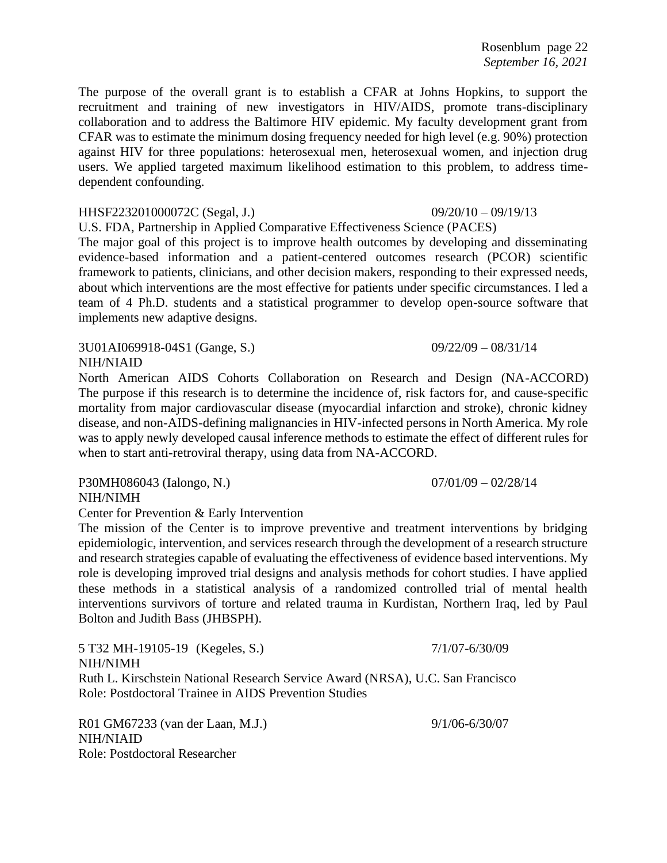Rosenblum page 22 *September 16, 2021*

The purpose of the overall grant is to establish a CFAR at Johns Hopkins, to support the recruitment and training of new investigators in HIV/AIDS, promote trans-disciplinary collaboration and to address the Baltimore HIV epidemic. My faculty development grant from CFAR was to estimate the minimum dosing frequency needed for high level (e.g. 90%) protection against HIV for three populations: heterosexual men, heterosexual women, and injection drug users. We applied targeted maximum likelihood estimation to this problem, to address timedependent confounding.

#### HHSF223201000072C (Segal, J.) 09/20/10 – 09/19/13

U.S. FDA, Partnership in Applied Comparative Effectiveness Science (PACES)

The major goal of this project is to improve health outcomes by developing and disseminating evidence-based information and a patient-centered outcomes research (PCOR) scientific framework to patients, clinicians, and other decision makers, responding to their expressed needs, about which interventions are the most effective for patients under specific circumstances. I led a team of 4 Ph.D. students and a statistical programmer to develop open-source software that implements new adaptive designs.

3U01AI069918-04S1 (Gange, S.) 09/22/09 – 08/31/14 NIH/NIAID

North American AIDS Cohorts Collaboration on Research and Design (NA-ACCORD) The purpose if this research is to determine the incidence of, risk factors for, and cause-specific mortality from major cardiovascular disease (myocardial infarction and stroke), chronic kidney disease, and non-AIDS-defining malignancies in HIV-infected persons in North America. My role was to apply newly developed causal inference methods to estimate the effect of different rules for when to start anti-retroviral therapy, using data from NA-ACCORD.

P30MH086043 (Ialongo, N.) 07/01/09 – 02/28/14 NIH/NIMH

Center for Prevention & Early Intervention

The mission of the Center is to improve preventive and treatment interventions by bridging epidemiologic, intervention, and services research through the development of a research structure and research strategies capable of evaluating the effectiveness of evidence based interventions. My role is developing improved trial designs and analysis methods for cohort studies. I have applied these methods in a statistical analysis of a randomized controlled trial of mental health interventions survivors of torture and related trauma in Kurdistan, Northern Iraq, led by Paul Bolton and Judith Bass (JHBSPH).

5 T32 MH-19105-19 (Kegeles, S.) 7/1/07-6/30/09 NIH/NIMH Ruth L. Kirschstein National Research Service Award (NRSA), U.C. San Francisco Role: Postdoctoral Trainee in AIDS Prevention Studies

R01 GM67233 (van der Laan, M.J.) 9/1/06-6/30/07 NIH/NIAID Role: Postdoctoral Researcher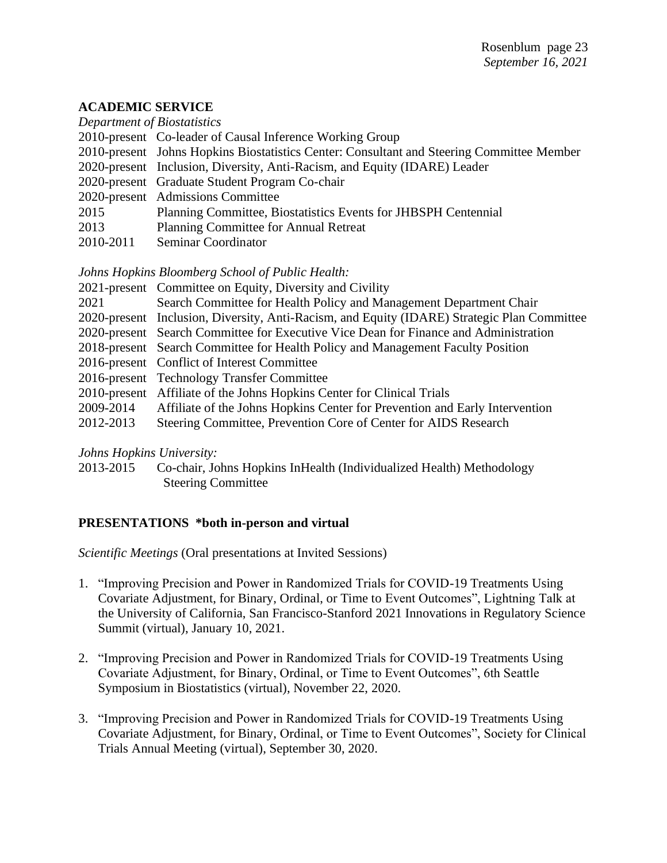#### **ACADEMIC SERVICE**

| Department of Biostatistics                                                               |
|-------------------------------------------------------------------------------------------|
| 2010-present Co-leader of Causal Inference Working Group                                  |
| 2010-present Johns Hopkins Biostatistics Center: Consultant and Steering Committee Member |
| 2020-present Inclusion, Diversity, Anti-Racism, and Equity (IDARE) Leader                 |
| 2020-present Graduate Student Program Co-chair                                            |
| 2020-present Admissions Committee                                                         |
| Planning Committee, Biostatistics Events for JHBSPH Centennial                            |
| Planning Committee for Annual Retreat                                                     |
| Seminar Coordinator                                                                       |
|                                                                                           |

*Johns Hopkins Bloomberg School of Public Health:*

|           | 2021-present Committee on Equity, Diversity and Civility                                    |
|-----------|---------------------------------------------------------------------------------------------|
| 2021      | Search Committee for Health Policy and Management Department Chair                          |
|           | 2020-present Inclusion, Diversity, Anti-Racism, and Equity (IDARE) Strategic Plan Committee |
|           | 2020-present Search Committee for Executive Vice Dean for Finance and Administration        |
|           | 2018-present Search Committee for Health Policy and Management Faculty Position             |
|           | 2016-present Conflict of Interest Committee                                                 |
|           | 2016-present Technology Transfer Committee                                                  |
|           | 2010-present Affiliate of the Johns Hopkins Center for Clinical Trials                      |
| 2009-2014 | Affiliate of the Johns Hopkins Center for Prevention and Early Intervention                 |
| 2012-2013 | Steering Committee, Prevention Core of Center for AIDS Research                             |
|           |                                                                                             |

*Johns Hopkins University:*

2013-2015 Co-chair, Johns Hopkins InHealth (Individualized Health) Methodology Steering Committee

# **PRESENTATIONS \*both in-person and virtual**

*Scientific Meetings* (Oral presentations at Invited Sessions)

- 1. "Improving Precision and Power in Randomized Trials for COVID-19 Treatments Using Covariate Adjustment, for Binary, Ordinal, or Time to Event Outcomes", Lightning Talk at the University of California, San Francisco-Stanford 2021 Innovations in Regulatory Science Summit (virtual), January 10, 2021.
- 2. "Improving Precision and Power in Randomized Trials for COVID-19 Treatments Using Covariate Adjustment, for Binary, Ordinal, or Time to Event Outcomes", 6th Seattle Symposium in Biostatistics (virtual), November 22, 2020.
- 3. "Improving Precision and Power in Randomized Trials for COVID-19 Treatments Using Covariate Adjustment, for Binary, Ordinal, or Time to Event Outcomes", Society for Clinical Trials Annual Meeting (virtual), September 30, 2020.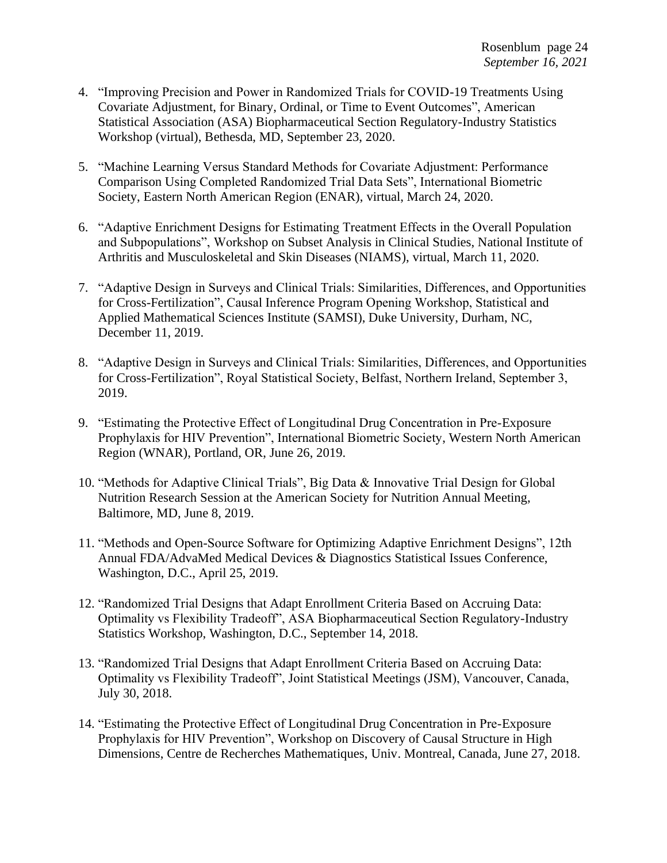- 4. "Improving Precision and Power in Randomized Trials for COVID-19 Treatments Using Covariate Adjustment, for Binary, Ordinal, or Time to Event Outcomes", American Statistical Association (ASA) Biopharmaceutical Section Regulatory-Industry Statistics Workshop (virtual), Bethesda, MD, September 23, 2020.
- 5. "Machine Learning Versus Standard Methods for Covariate Adjustment: Performance Comparison Using Completed Randomized Trial Data Sets", International Biometric Society, Eastern North American Region (ENAR), virtual, March 24, 2020.
- 6. "Adaptive Enrichment Designs for Estimating Treatment Effects in the Overall Population and Subpopulations", Workshop on Subset Analysis in Clinical Studies, National Institute of Arthritis and Musculoskeletal and Skin Diseases (NIAMS), virtual, March 11, 2020.
- 7. "Adaptive Design in Surveys and Clinical Trials: Similarities, Differences, and Opportunities for Cross-Fertilization", Causal Inference Program Opening Workshop, Statistical and Applied Mathematical Sciences Institute (SAMSI), Duke University, Durham, NC, December 11, 2019.
- 8. "Adaptive Design in Surveys and Clinical Trials: Similarities, Differences, and Opportunities for Cross-Fertilization", Royal Statistical Society, Belfast, Northern Ireland, September 3, 2019.
- 9. "Estimating the Protective Effect of Longitudinal Drug Concentration in Pre-Exposure Prophylaxis for HIV Prevention", International Biometric Society, Western North American Region (WNAR), Portland, OR, June 26, 2019.
- 10. "Methods for Adaptive Clinical Trials", Big Data & Innovative Trial Design for Global Nutrition Research Session at the American Society for Nutrition Annual Meeting, Baltimore, MD, June 8, 2019.
- 11. "Methods and Open-Source Software for Optimizing Adaptive Enrichment Designs", 12th Annual FDA/AdvaMed Medical Devices & Diagnostics Statistical Issues Conference, Washington, D.C., April 25, 2019.
- 12. "Randomized Trial Designs that Adapt Enrollment Criteria Based on Accruing Data: Optimality vs Flexibility Tradeoff", ASA Biopharmaceutical Section Regulatory-Industry Statistics Workshop, Washington, D.C., September 14, 2018.
- 13. "Randomized Trial Designs that Adapt Enrollment Criteria Based on Accruing Data: Optimality vs Flexibility Tradeoff", Joint Statistical Meetings (JSM), Vancouver, Canada, July 30, 2018.
- 14. "Estimating the Protective Effect of Longitudinal Drug Concentration in Pre-Exposure Prophylaxis for HIV Prevention", Workshop on Discovery of Causal Structure in High Dimensions, Centre de Recherches Mathematiques, Univ. Montreal, Canada, June 27, 2018.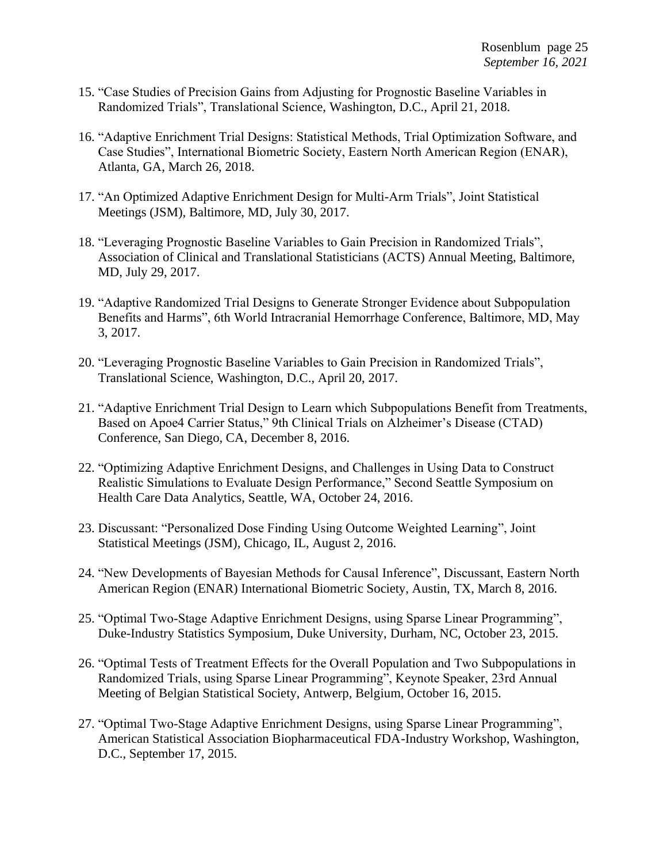- 15. "Case Studies of Precision Gains from Adjusting for Prognostic Baseline Variables in Randomized Trials", Translational Science, Washington, D.C., April 21, 2018.
- 16. "Adaptive Enrichment Trial Designs: Statistical Methods, Trial Optimization Software, and Case Studies", International Biometric Society, Eastern North American Region (ENAR), Atlanta, GA, March 26, 2018.
- 17. "An Optimized Adaptive Enrichment Design for Multi-Arm Trials", Joint Statistical Meetings (JSM), Baltimore, MD, July 30, 2017.
- 18. "Leveraging Prognostic Baseline Variables to Gain Precision in Randomized Trials", Association of Clinical and Translational Statisticians (ACTS) Annual Meeting, Baltimore, MD, July 29, 2017.
- 19. "Adaptive Randomized Trial Designs to Generate Stronger Evidence about Subpopulation Benefits and Harms", 6th World Intracranial Hemorrhage Conference, Baltimore, MD, May 3, 2017.
- 20. "Leveraging Prognostic Baseline Variables to Gain Precision in Randomized Trials", Translational Science, Washington, D.C., April 20, 2017.
- 21. "Adaptive Enrichment Trial Design to Learn which Subpopulations Benefit from Treatments, Based on Apoe4 Carrier Status," 9th Clinical Trials on Alzheimer's Disease (CTAD) Conference, San Diego, CA, December 8, 2016.
- 22. "Optimizing Adaptive Enrichment Designs, and Challenges in Using Data to Construct Realistic Simulations to Evaluate Design Performance," Second Seattle Symposium on Health Care Data Analytics, Seattle, WA, October 24, 2016.
- 23. Discussant: "Personalized Dose Finding Using Outcome Weighted Learning", Joint Statistical Meetings (JSM), Chicago, IL, August 2, 2016.
- 24. "New Developments of Bayesian Methods for Causal Inference", Discussant, Eastern North American Region (ENAR) International Biometric Society, Austin, TX, March 8, 2016.
- 25. "Optimal Two-Stage Adaptive Enrichment Designs, using Sparse Linear Programming", Duke-Industry Statistics Symposium, Duke University, Durham, NC, October 23, 2015.
- 26. "Optimal Tests of Treatment Effects for the Overall Population and Two Subpopulations in Randomized Trials, using Sparse Linear Programming", Keynote Speaker, 23rd Annual Meeting of Belgian Statistical Society, Antwerp, Belgium, October 16, 2015.
- 27. "Optimal Two-Stage Adaptive Enrichment Designs, using Sparse Linear Programming", American Statistical Association Biopharmaceutical FDA-Industry Workshop, Washington, D.C., September 17, 2015.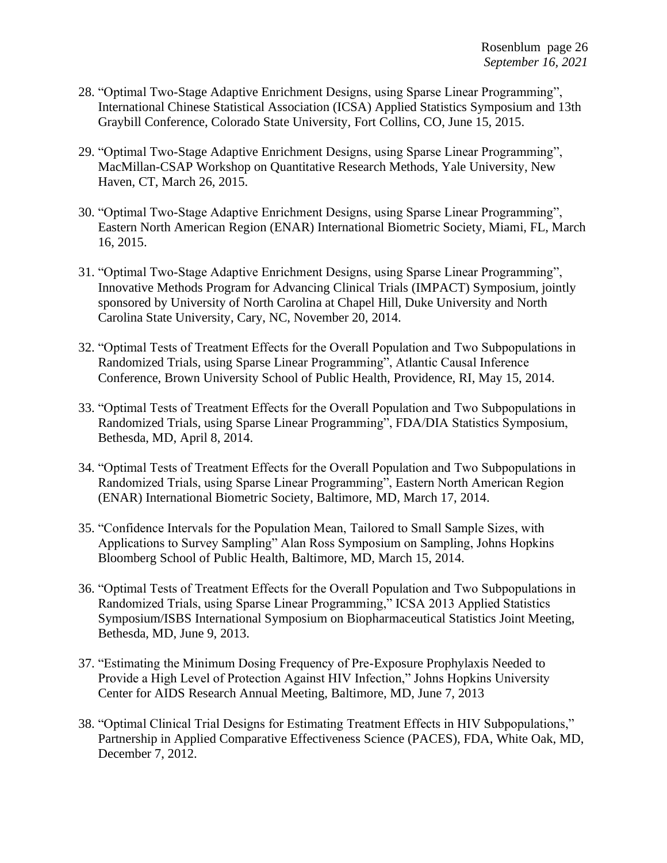- 28. "Optimal Two-Stage Adaptive Enrichment Designs, using Sparse Linear Programming", International Chinese Statistical Association (ICSA) Applied Statistics Symposium and 13th Graybill Conference, Colorado State University, Fort Collins, CO, June 15, 2015.
- 29. "Optimal Two-Stage Adaptive Enrichment Designs, using Sparse Linear Programming", MacMillan-CSAP Workshop on Quantitative Research Methods, Yale University, New Haven, CT, March 26, 2015.
- 30. "Optimal Two-Stage Adaptive Enrichment Designs, using Sparse Linear Programming", Eastern North American Region (ENAR) International Biometric Society, Miami, FL, March 16, 2015.
- 31. "Optimal Two-Stage Adaptive Enrichment Designs, using Sparse Linear Programming", Innovative Methods Program for Advancing Clinical Trials (IMPACT) Symposium, jointly sponsored by University of North Carolina at Chapel Hill, Duke University and North Carolina State University, Cary, NC, November 20, 2014.
- 32. "Optimal Tests of Treatment Effects for the Overall Population and Two Subpopulations in Randomized Trials, using Sparse Linear Programming", Atlantic Causal Inference Conference, Brown University School of Public Health, Providence, RI, May 15, 2014.
- 33. "Optimal Tests of Treatment Effects for the Overall Population and Two Subpopulations in Randomized Trials, using Sparse Linear Programming", FDA/DIA Statistics Symposium, Bethesda, MD, April 8, 2014.
- 34. "Optimal Tests of Treatment Effects for the Overall Population and Two Subpopulations in Randomized Trials, using Sparse Linear Programming", Eastern North American Region (ENAR) International Biometric Society, Baltimore, MD, March 17, 2014.
- 35. "Confidence Intervals for the Population Mean, Tailored to Small Sample Sizes, with Applications to Survey Sampling" Alan Ross Symposium on Sampling, Johns Hopkins Bloomberg School of Public Health, Baltimore, MD, March 15, 2014.
- 36. "Optimal Tests of Treatment Effects for the Overall Population and Two Subpopulations in Randomized Trials, using Sparse Linear Programming," ICSA 2013 Applied Statistics Symposium/ISBS International Symposium on Biopharmaceutical Statistics Joint Meeting, Bethesda, MD, June 9, 2013.
- 37. "Estimating the Minimum Dosing Frequency of Pre-Exposure Prophylaxis Needed to Provide a High Level of Protection Against HIV Infection," Johns Hopkins University Center for AIDS Research Annual Meeting, Baltimore, MD, June 7, 2013
- 38. "Optimal Clinical Trial Designs for Estimating Treatment Effects in HIV Subpopulations," Partnership in Applied Comparative Effectiveness Science (PACES), FDA, White Oak, MD, December 7, 2012.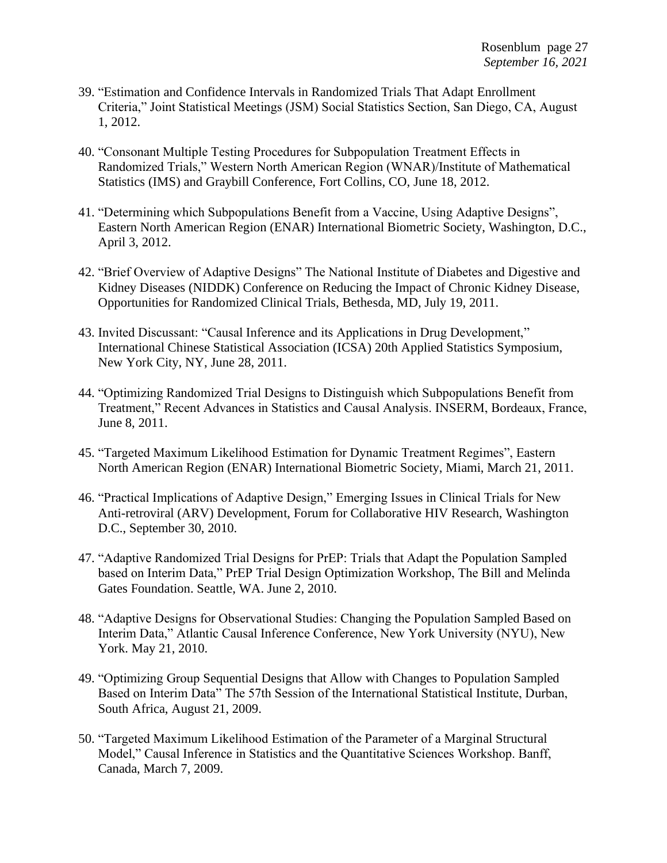- 39. "Estimation and Confidence Intervals in Randomized Trials That Adapt Enrollment Criteria," Joint Statistical Meetings (JSM) Social Statistics Section, San Diego, CA, August 1, 2012.
- 40. "Consonant Multiple Testing Procedures for Subpopulation Treatment Effects in Randomized Trials," Western North American Region (WNAR)/Institute of Mathematical Statistics (IMS) and Graybill Conference, Fort Collins, CO, June 18, 2012.
- 41. "Determining which Subpopulations Benefit from a Vaccine, Using Adaptive Designs", Eastern North American Region (ENAR) International Biometric Society, Washington, D.C., April 3, 2012.
- 42. "Brief Overview of Adaptive Designs" The National Institute of Diabetes and Digestive and Kidney Diseases (NIDDK) Conference on Reducing the Impact of Chronic Kidney Disease, Opportunities for Randomized Clinical Trials, Bethesda, MD, July 19, 2011.
- 43. Invited Discussant: "Causal Inference and its Applications in Drug Development," International Chinese Statistical Association (ICSA) 20th Applied Statistics Symposium, New York City, NY, June 28, 2011.
- 44. "Optimizing Randomized Trial Designs to Distinguish which Subpopulations Benefit from Treatment," Recent Advances in Statistics and Causal Analysis. INSERM, Bordeaux, France, June 8, 2011.
- 45. "Targeted Maximum Likelihood Estimation for Dynamic Treatment Regimes", Eastern North American Region (ENAR) International Biometric Society, Miami, March 21, 2011.
- 46. "Practical Implications of Adaptive Design," Emerging Issues in Clinical Trials for New Anti-retroviral (ARV) Development, Forum for Collaborative HIV Research, Washington D.C., September 30, 2010.
- 47. "Adaptive Randomized Trial Designs for PrEP: Trials that Adapt the Population Sampled based on Interim Data," PrEP Trial Design Optimization Workshop, The Bill and Melinda Gates Foundation. Seattle, WA. June 2, 2010.
- 48. "Adaptive Designs for Observational Studies: Changing the Population Sampled Based on Interim Data," Atlantic Causal Inference Conference, New York University (NYU), New York. May 21, 2010.
- 49. "Optimizing Group Sequential Designs that Allow with Changes to Population Sampled Based on Interim Data" The 57th Session of the International Statistical Institute, Durban, South Africa, August 21, 2009.
- 50. "Targeted Maximum Likelihood Estimation of the Parameter of a Marginal Structural Model," Causal Inference in Statistics and the Quantitative Sciences Workshop. Banff, Canada, March 7, 2009.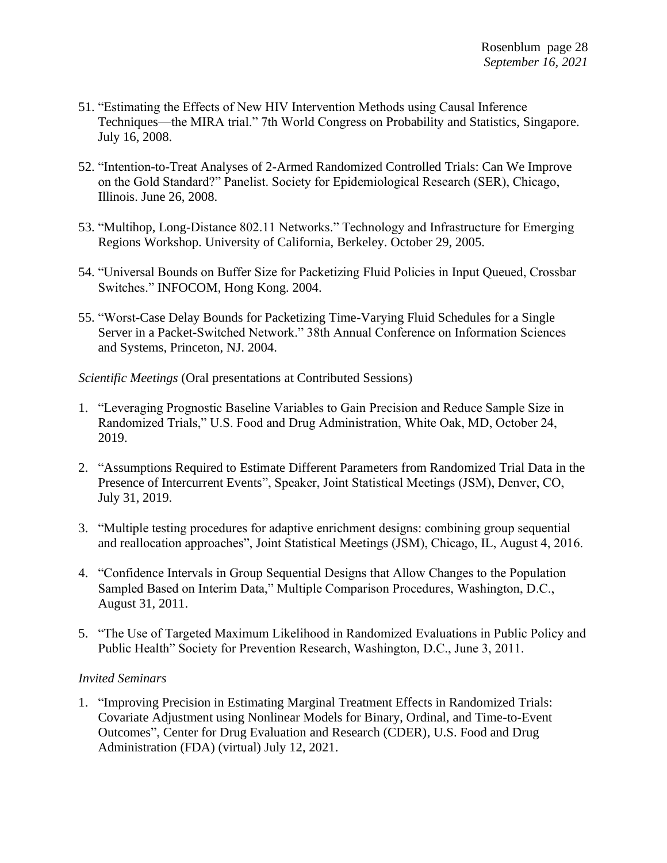- 51. "Estimating the Effects of New HIV Intervention Methods using Causal Inference Techniques—the MIRA trial." 7th World Congress on Probability and Statistics, Singapore. July 16, 2008.
- 52. "Intention-to-Treat Analyses of 2-Armed Randomized Controlled Trials: Can We Improve on the Gold Standard?" Panelist. Society for Epidemiological Research (SER), Chicago, Illinois. June 26, 2008.
- 53. "Multihop, Long-Distance 802.11 Networks." Technology and Infrastructure for Emerging Regions Workshop. University of California, Berkeley. October 29, 2005.
- 54. "Universal Bounds on Buffer Size for Packetizing Fluid Policies in Input Queued, Crossbar Switches." INFOCOM, Hong Kong. 2004.
- 55. "Worst-Case Delay Bounds for Packetizing Time-Varying Fluid Schedules for a Single Server in a Packet-Switched Network." 38th Annual Conference on Information Sciences and Systems, Princeton, NJ. 2004.

*Scientific Meetings* (Oral presentations at Contributed Sessions)

- 1. "Leveraging Prognostic Baseline Variables to Gain Precision and Reduce Sample Size in Randomized Trials," U.S. Food and Drug Administration, White Oak, MD, October 24, 2019.
- 2. "Assumptions Required to Estimate Different Parameters from Randomized Trial Data in the Presence of Intercurrent Events", Speaker, Joint Statistical Meetings (JSM), Denver, CO, July 31, 2019.
- 3. "Multiple testing procedures for adaptive enrichment designs: combining group sequential and reallocation approaches", Joint Statistical Meetings (JSM), Chicago, IL, August 4, 2016.
- 4. "Confidence Intervals in Group Sequential Designs that Allow Changes to the Population Sampled Based on Interim Data," Multiple Comparison Procedures, Washington, D.C., August 31, 2011.
- 5. "The Use of Targeted Maximum Likelihood in Randomized Evaluations in Public Policy and Public Health" Society for Prevention Research, Washington, D.C., June 3, 2011.

#### *Invited Seminars*

1. "Improving Precision in Estimating Marginal Treatment Effects in Randomized Trials: Covariate Adjustment using Nonlinear Models for Binary, Ordinal, and Time-to-Event Outcomes", Center for Drug Evaluation and Research (CDER), U.S. Food and Drug Administration (FDA) (virtual) July 12, 2021.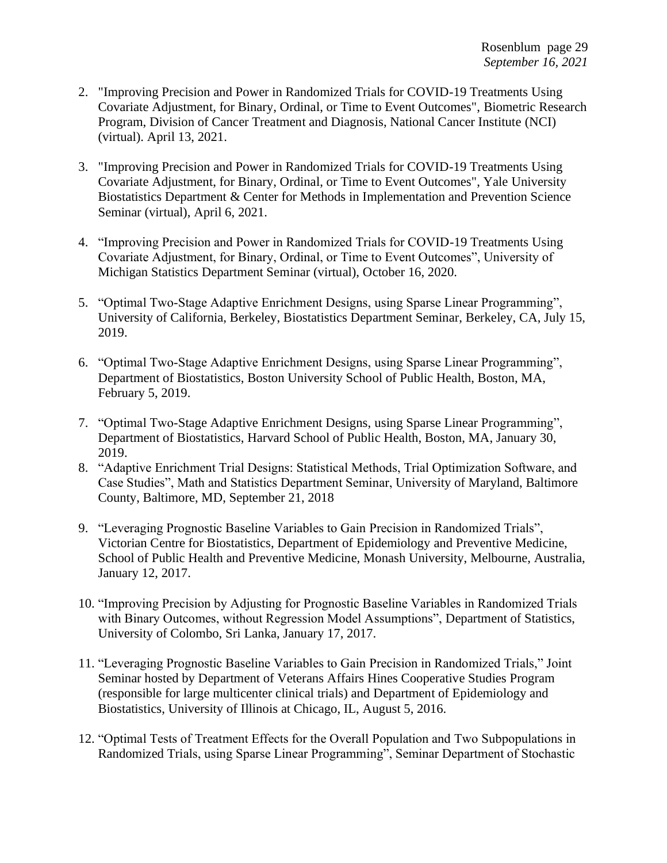- 2. "Improving Precision and Power in Randomized Trials for COVID-19 Treatments Using Covariate Adjustment, for Binary, Ordinal, or Time to Event Outcomes", Biometric Research Program, Division of Cancer Treatment and Diagnosis, National Cancer Institute (NCI) (virtual). April 13, 2021.
- 3. "Improving Precision and Power in Randomized Trials for COVID-19 Treatments Using Covariate Adjustment, for Binary, Ordinal, or Time to Event Outcomes", Yale University Biostatistics Department & Center for Methods in Implementation and Prevention Science Seminar (virtual), April 6, 2021.
- 4. "Improving Precision and Power in Randomized Trials for COVID-19 Treatments Using Covariate Adjustment, for Binary, Ordinal, or Time to Event Outcomes", University of Michigan Statistics Department Seminar (virtual), October 16, 2020.
- 5. "Optimal Two-Stage Adaptive Enrichment Designs, using Sparse Linear Programming", University of California, Berkeley, Biostatistics Department Seminar, Berkeley, CA, July 15, 2019.
- 6. "Optimal Two-Stage Adaptive Enrichment Designs, using Sparse Linear Programming", Department of Biostatistics, Boston University School of Public Health, Boston, MA, February 5, 2019.
- 7. "Optimal Two-Stage Adaptive Enrichment Designs, using Sparse Linear Programming", Department of Biostatistics, Harvard School of Public Health, Boston, MA, January 30, 2019.
- 8. "Adaptive Enrichment Trial Designs: Statistical Methods, Trial Optimization Software, and Case Studies", Math and Statistics Department Seminar, University of Maryland, Baltimore County, Baltimore, MD, September 21, 2018
- 9. "Leveraging Prognostic Baseline Variables to Gain Precision in Randomized Trials", Victorian Centre for Biostatistics, Department of Epidemiology and Preventive Medicine, School of Public Health and Preventive Medicine, Monash University, Melbourne, Australia, January 12, 2017.
- 10. "Improving Precision by Adjusting for Prognostic Baseline Variables in Randomized Trials with Binary Outcomes, without Regression Model Assumptions", Department of Statistics, University of Colombo, Sri Lanka, January 17, 2017.
- 11. "Leveraging Prognostic Baseline Variables to Gain Precision in Randomized Trials," Joint Seminar hosted by Department of Veterans Affairs Hines Cooperative Studies Program (responsible for large multicenter clinical trials) and Department of Epidemiology and Biostatistics, University of Illinois at Chicago, IL, August 5, 2016.
- 12. "Optimal Tests of Treatment Effects for the Overall Population and Two Subpopulations in Randomized Trials, using Sparse Linear Programming", Seminar Department of Stochastic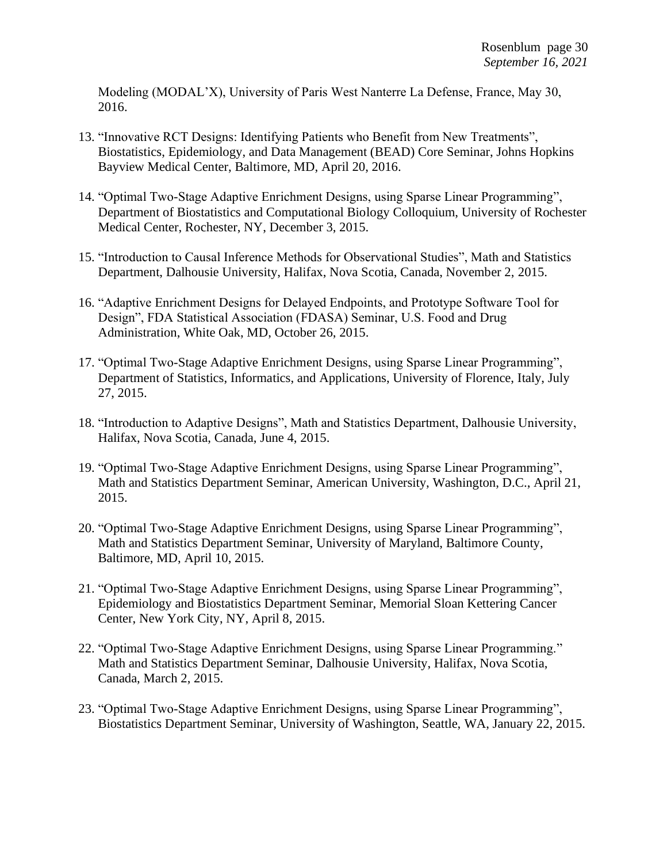Modeling (MODAL'X), University of Paris West Nanterre La Defense, France, May 30, 2016.

- 13. "Innovative RCT Designs: Identifying Patients who Benefit from New Treatments", Biostatistics, Epidemiology, and Data Management (BEAD) Core Seminar, Johns Hopkins Bayview Medical Center, Baltimore, MD, April 20, 2016.
- 14. "Optimal Two-Stage Adaptive Enrichment Designs, using Sparse Linear Programming", Department of Biostatistics and Computational Biology Colloquium, University of Rochester Medical Center, Rochester, NY, December 3, 2015.
- 15. "Introduction to Causal Inference Methods for Observational Studies", Math and Statistics Department, Dalhousie University, Halifax, Nova Scotia, Canada, November 2, 2015.
- 16. "Adaptive Enrichment Designs for Delayed Endpoints, and Prototype Software Tool for Design", FDA Statistical Association (FDASA) Seminar, U.S. Food and Drug Administration, White Oak, MD, October 26, 2015.
- 17. "Optimal Two-Stage Adaptive Enrichment Designs, using Sparse Linear Programming", Department of Statistics, Informatics, and Applications, University of Florence, Italy, July 27, 2015.
- 18. "Introduction to Adaptive Designs", Math and Statistics Department, Dalhousie University, Halifax, Nova Scotia, Canada, June 4, 2015.
- 19. "Optimal Two-Stage Adaptive Enrichment Designs, using Sparse Linear Programming", Math and Statistics Department Seminar, American University, Washington, D.C., April 21, 2015.
- 20. "Optimal Two-Stage Adaptive Enrichment Designs, using Sparse Linear Programming", Math and Statistics Department Seminar, University of Maryland, Baltimore County, Baltimore, MD, April 10, 2015.
- 21. "Optimal Two-Stage Adaptive Enrichment Designs, using Sparse Linear Programming", Epidemiology and Biostatistics Department Seminar, Memorial Sloan Kettering Cancer Center, New York City, NY, April 8, 2015.
- 22. "Optimal Two-Stage Adaptive Enrichment Designs, using Sparse Linear Programming." Math and Statistics Department Seminar, Dalhousie University, Halifax, Nova Scotia, Canada, March 2, 2015.
- 23. "Optimal Two-Stage Adaptive Enrichment Designs, using Sparse Linear Programming", Biostatistics Department Seminar, University of Washington, Seattle, WA, January 22, 2015.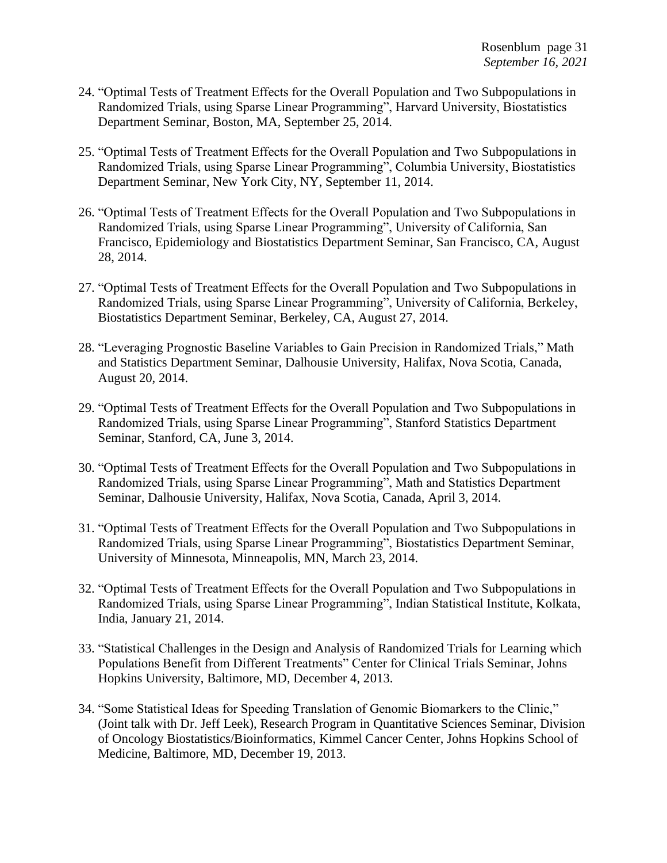- 24. "Optimal Tests of Treatment Effects for the Overall Population and Two Subpopulations in Randomized Trials, using Sparse Linear Programming", Harvard University, Biostatistics Department Seminar, Boston, MA, September 25, 2014.
- 25. "Optimal Tests of Treatment Effects for the Overall Population and Two Subpopulations in Randomized Trials, using Sparse Linear Programming", Columbia University, Biostatistics Department Seminar, New York City, NY, September 11, 2014.
- 26. "Optimal Tests of Treatment Effects for the Overall Population and Two Subpopulations in Randomized Trials, using Sparse Linear Programming", University of California, San Francisco, Epidemiology and Biostatistics Department Seminar, San Francisco, CA, August 28, 2014.
- 27. "Optimal Tests of Treatment Effects for the Overall Population and Two Subpopulations in Randomized Trials, using Sparse Linear Programming", University of California, Berkeley, Biostatistics Department Seminar, Berkeley, CA, August 27, 2014.
- 28. "Leveraging Prognostic Baseline Variables to Gain Precision in Randomized Trials," Math and Statistics Department Seminar, Dalhousie University, Halifax, Nova Scotia, Canada, August 20, 2014.
- 29. "Optimal Tests of Treatment Effects for the Overall Population and Two Subpopulations in Randomized Trials, using Sparse Linear Programming", Stanford Statistics Department Seminar, Stanford, CA, June 3, 2014.
- 30. "Optimal Tests of Treatment Effects for the Overall Population and Two Subpopulations in Randomized Trials, using Sparse Linear Programming", Math and Statistics Department Seminar, Dalhousie University, Halifax, Nova Scotia, Canada, April 3, 2014.
- 31. "Optimal Tests of Treatment Effects for the Overall Population and Two Subpopulations in Randomized Trials, using Sparse Linear Programming", Biostatistics Department Seminar, University of Minnesota, Minneapolis, MN, March 23, 2014.
- 32. "Optimal Tests of Treatment Effects for the Overall Population and Two Subpopulations in Randomized Trials, using Sparse Linear Programming", Indian Statistical Institute, Kolkata, India, January 21, 2014.
- 33. "Statistical Challenges in the Design and Analysis of Randomized Trials for Learning which Populations Benefit from Different Treatments" Center for Clinical Trials Seminar, Johns Hopkins University, Baltimore, MD, December 4, 2013.
- 34. "Some Statistical Ideas for Speeding Translation of Genomic Biomarkers to the Clinic," (Joint talk with Dr. Jeff Leek), Research Program in Quantitative Sciences Seminar, Division of Oncology Biostatistics/Bioinformatics, Kimmel Cancer Center, Johns Hopkins School of Medicine, Baltimore, MD, December 19, 2013.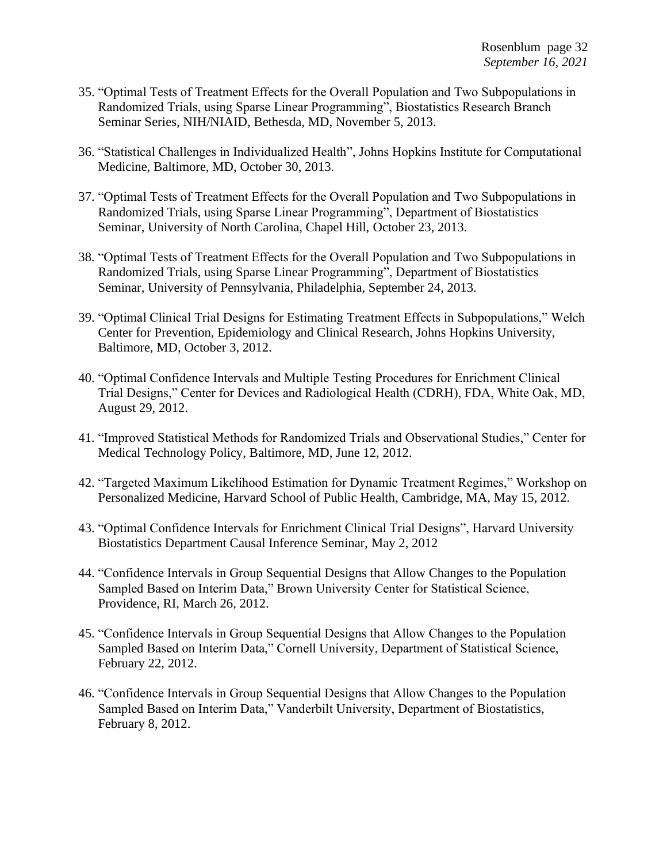- 35. "Optimal Tests of Treatment Effects for the Overall Population and Two Subpopulations in Randomized Trials, using Sparse Linear Programming", Biostatistics Research Branch Seminar Series, NIH/NIAID, Bethesda, MD, November 5, 2013.
- 36. "Statistical Challenges in Individualized Health", Johns Hopkins Institute for Computational Medicine, Baltimore, MD, October 30, 2013.
- 37. "Optimal Tests of Treatment Effects for the Overall Population and Two Subpopulations in Randomized Trials, using Sparse Linear Programming", Department of Biostatistics Seminar, University of North Carolina, Chapel Hill, October 23, 2013.
- 38. "Optimal Tests of Treatment Effects for the Overall Population and Two Subpopulations in Randomized Trials, using Sparse Linear Programming", Department of Biostatistics Seminar, University of Pennsylvania, Philadelphia, September 24, 2013.
- 39. "Optimal Clinical Trial Designs for Estimating Treatment Effects in Subpopulations," Welch Center for Prevention, Epidemiology and Clinical Research, Johns Hopkins University, Baltimore, MD, October 3, 2012.
- 40. "Optimal Confidence Intervals and Multiple Testing Procedures for Enrichment Clinical Trial Designs," Center for Devices and Radiological Health (CDRH), FDA, White Oak, MD, August 29, 2012.
- 41. "Improved Statistical Methods for Randomized Trials and Observational Studies," Center for Medical Technology Policy, Baltimore, MD, June 12, 2012.
- 42. "Targeted Maximum Likelihood Estimation for Dynamic Treatment Regimes," Workshop on Personalized Medicine, Harvard School of Public Health, Cambridge, MA, May 15, 2012.
- 43. "Optimal Confidence Intervals for Enrichment Clinical Trial Designs", Harvard University Biostatistics Department Causal Inference Seminar, May 2, 2012
- 44. "Confidence Intervals in Group Sequential Designs that Allow Changes to the Population Sampled Based on Interim Data," Brown University Center for Statistical Science, Providence, RI, March 26, 2012.
- 45. "Confidence Intervals in Group Sequential Designs that Allow Changes to the Population Sampled Based on Interim Data," Cornell University, Department of Statistical Science, February 22, 2012.
- 46. "Confidence Intervals in Group Sequential Designs that Allow Changes to the Population Sampled Based on Interim Data," Vanderbilt University, Department of Biostatistics, February 8, 2012.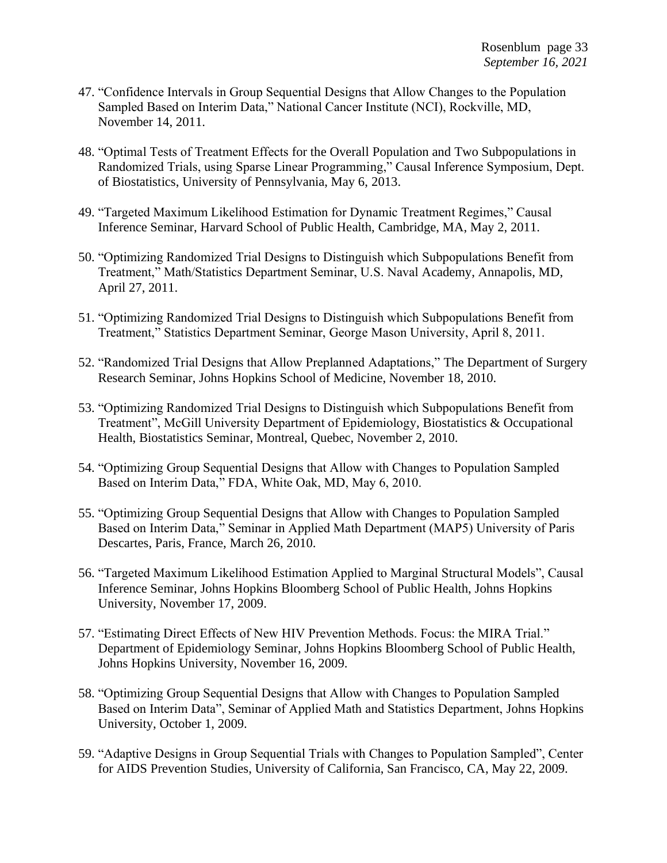- 47. "Confidence Intervals in Group Sequential Designs that Allow Changes to the Population Sampled Based on Interim Data," National Cancer Institute (NCI), Rockville, MD, November 14, 2011.
- 48. "Optimal Tests of Treatment Effects for the Overall Population and Two Subpopulations in Randomized Trials, using Sparse Linear Programming," Causal Inference Symposium, Dept. of Biostatistics, University of Pennsylvania, May 6, 2013.
- 49. "Targeted Maximum Likelihood Estimation for Dynamic Treatment Regimes," Causal Inference Seminar, Harvard School of Public Health, Cambridge, MA, May 2, 2011.
- 50. "Optimizing Randomized Trial Designs to Distinguish which Subpopulations Benefit from Treatment," Math/Statistics Department Seminar, U.S. Naval Academy, Annapolis, MD, April 27, 2011.
- 51. "Optimizing Randomized Trial Designs to Distinguish which Subpopulations Benefit from Treatment," Statistics Department Seminar, George Mason University, April 8, 2011.
- 52. "Randomized Trial Designs that Allow Preplanned Adaptations," The Department of Surgery Research Seminar, Johns Hopkins School of Medicine, November 18, 2010.
- 53. "Optimizing Randomized Trial Designs to Distinguish which Subpopulations Benefit from Treatment", McGill University Department of Epidemiology, Biostatistics & Occupational Health, Biostatistics Seminar, Montreal, Quebec, November 2, 2010.
- 54. "Optimizing Group Sequential Designs that Allow with Changes to Population Sampled Based on Interim Data," FDA, White Oak, MD, May 6, 2010.
- 55. "Optimizing Group Sequential Designs that Allow with Changes to Population Sampled Based on Interim Data," Seminar in Applied Math Department (MAP5) University of Paris Descartes, Paris, France, March 26, 2010.
- 56. "Targeted Maximum Likelihood Estimation Applied to Marginal Structural Models", Causal Inference Seminar, Johns Hopkins Bloomberg School of Public Health, Johns Hopkins University, November 17, 2009.
- 57. "Estimating Direct Effects of New HIV Prevention Methods. Focus: the MIRA Trial." Department of Epidemiology Seminar, Johns Hopkins Bloomberg School of Public Health, Johns Hopkins University, November 16, 2009.
- 58. "Optimizing Group Sequential Designs that Allow with Changes to Population Sampled Based on Interim Data", Seminar of Applied Math and Statistics Department, Johns Hopkins University, October 1, 2009.
- 59. "Adaptive Designs in Group Sequential Trials with Changes to Population Sampled", Center for AIDS Prevention Studies, University of California, San Francisco, CA, May 22, 2009.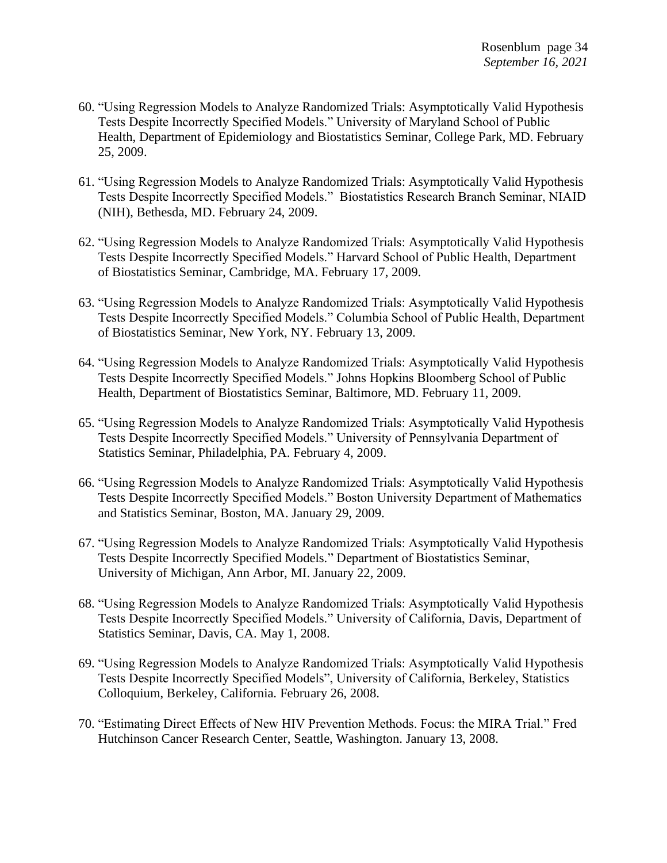- 60. "Using Regression Models to Analyze Randomized Trials: Asymptotically Valid Hypothesis Tests Despite Incorrectly Specified Models." University of Maryland School of Public Health, Department of Epidemiology and Biostatistics Seminar, College Park, MD. February 25, 2009.
- 61. "Using Regression Models to Analyze Randomized Trials: Asymptotically Valid Hypothesis Tests Despite Incorrectly Specified Models." Biostatistics Research Branch Seminar, NIAID (NIH), Bethesda, MD. February 24, 2009.
- 62. "Using Regression Models to Analyze Randomized Trials: Asymptotically Valid Hypothesis Tests Despite Incorrectly Specified Models." Harvard School of Public Health, Department of Biostatistics Seminar, Cambridge, MA. February 17, 2009.
- 63. "Using Regression Models to Analyze Randomized Trials: Asymptotically Valid Hypothesis Tests Despite Incorrectly Specified Models." Columbia School of Public Health, Department of Biostatistics Seminar, New York, NY. February 13, 2009.
- 64. "Using Regression Models to Analyze Randomized Trials: Asymptotically Valid Hypothesis Tests Despite Incorrectly Specified Models." Johns Hopkins Bloomberg School of Public Health, Department of Biostatistics Seminar, Baltimore, MD. February 11, 2009.
- 65. "Using Regression Models to Analyze Randomized Trials: Asymptotically Valid Hypothesis Tests Despite Incorrectly Specified Models." University of Pennsylvania Department of Statistics Seminar, Philadelphia, PA. February 4, 2009.
- 66. "Using Regression Models to Analyze Randomized Trials: Asymptotically Valid Hypothesis Tests Despite Incorrectly Specified Models." Boston University Department of Mathematics and Statistics Seminar, Boston, MA. January 29, 2009.
- 67. "Using Regression Models to Analyze Randomized Trials: Asymptotically Valid Hypothesis Tests Despite Incorrectly Specified Models." Department of Biostatistics Seminar, University of Michigan, Ann Arbor, MI. January 22, 2009.
- 68. "Using Regression Models to Analyze Randomized Trials: Asymptotically Valid Hypothesis Tests Despite Incorrectly Specified Models." University of California, Davis, Department of Statistics Seminar, Davis, CA. May 1, 2008.
- 69. "Using Regression Models to Analyze Randomized Trials: Asymptotically Valid Hypothesis Tests Despite Incorrectly Specified Models", University of California, Berkeley, Statistics Colloquium, Berkeley, California. February 26, 2008.
- 70. "Estimating Direct Effects of New HIV Prevention Methods. Focus: the MIRA Trial." Fred Hutchinson Cancer Research Center, Seattle, Washington. January 13, 2008.